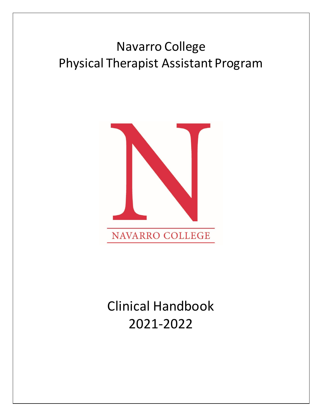# Navarro College Physical Therapist Assistant Program



# Clinical Handbook 2021-2022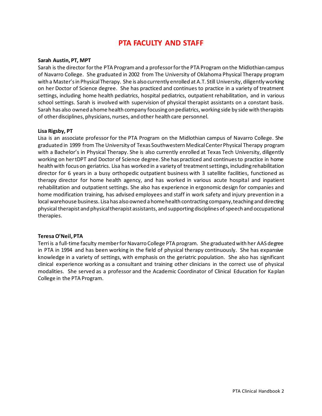### **PTA FACULTY AND STAFF**

#### <span id="page-1-0"></span>**Sarah Austin, PT, MPT**

Sarah is the director for the PTA Program and a professor for the PTA Program on the Midlothian campus of Navarro College. She graduated in 2002 from The University of Oklahoma Physical Therapy program with a Master's in Physical Therapy. She is also currently enrolled at A.T. Still University, diligently working on her Doctor of Science degree. She has practiced and continues to practice in a variety of treatment settings, including home health pediatrics, hospital pediatrics, outpatient rehabilitation, and in various school settings. Sarah is involved with supervision of physical therapist assistants on a constant basis. Sarah has also owned a home health company focusing on pediatrics, working side by side with therapists of other disciplines, physicians, nurses, and other health care personnel.

#### **Lisa Rigsby, PT**

Lisa is an associate professor for the PTA Program on the Midlothian campus of Navarro College. She graduated in 1999 from The University of Texas Southwestern Medical Center Physical Therapy program with a Bachelor's in Physical Therapy. She is also currently enrolled at Texas Tech University, diligently working on her tDPT and Doctor of Science degree. She has practiced and continues to practice in home health with focus on geriatrics. Lisa has worked in a variety of treatment settings, including rehabilitation director for 6 years in a busy orthopedic outpatient business with 3 satellite facilities, functioned as therapy director for home health agency, and has worked in various acute hospital and inpatient rehabilitation and outpatient settings. She also has experience in ergonomic design for companies and home modification training, has advised employees and staff in work safety and injury prevention in a local warehouse business. Lisa has also owned a home health contracting company, teaching and directing physical therapist and physical therapist assistants, and supporting disciplines of speech and occupational therapies.

#### **Teresa O'Neil, PTA**

Terri is a full-time faculty member for Navarro College PTA program. She graduated with her AAS degree in PTA in 1994 and has been working in the field of physical therapy continuously. She has expansive knowledge in a variety of settings, with emphasis on the geriatric population. She also has significant clinical experience working as a consultant and training other clinicians in the correct use of physical modalities. She served as a professor and the Academic Coordinator of Clinical Education for Kaplan College in the PTA Program.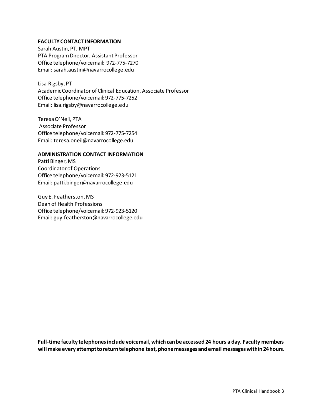#### <span id="page-2-0"></span>**FACULTY CONTACT INFORMATION**

Sarah Austin, PT, MPT PTA Program Director; Assistant Professor Office telephone/voicemail: 972-775-7270 Email: sarah.austin@navarrocollege.edu

Lisa Rigsby, PT Academic Coordinator of Clinical Education, Associate Professor Office telephone/voicemail: 972-775-7252 Email: lisa.rigsby@navarrocollege.edu

Teresa O'Neil, PTA Associate Professor Office telephone/voicemail: 972-775-7254 Email: teresa.oneil@navarrocollege.edu

#### **ADMINISTRATION CONTACT INFORMATION**

Patti Binger, MS Coordinator of Operations Office telephone/voicemail: 972-923-5121 Email: patti.binger@navarrocollege.edu

Guy E. Featherston, MS Dean of Health Professions Office telephone/voicemail: 972-923-5120 Email: guy.featherston@navarrocollege.edu

**Full-time faculty telephones include voicemail, which can be accessed 24 hours a day. Faculty members will make every attempt to return telephone text, phone messages and email messages within 24 hours.**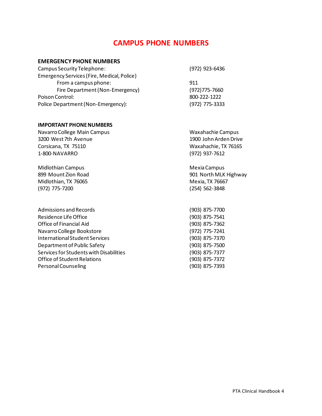### **CAMPUS PHONE NUMBERS**

#### <span id="page-3-0"></span>**EMERGENCY PHONE NUMBERS**

| Campus Security Telephone:                 | (972) 923-6436 |
|--------------------------------------------|----------------|
| Emergency Services (Fire, Medical, Police) |                |
| From a campus phone:                       | 911            |
| Fire Department (Non-Emergency)            | (972) 775-7660 |
| Poison Control:                            | 800-222-1222   |
| Police Department (Non-Emergency):         | (972) 775-3333 |

#### **IMPORTANT PHONE NUMBERS**

Navarro College Main Campus Waxahachie Campus 3200 West 7th Avenue 1900 John Arden Drive Corsicana, TX 75110 Waxahachie, TX 76165 1-800-NAVARRO (972) 937-7612

Midlothian Campus **Midlothian Campus** Mexia Campus Midlothian, TX 76065 Mexic 2012 12:00 Mexic 2014 (972) 775-7200 (254) 562-3848

Admissions and Records (903) 875-7700 Residence Life Office (903) 875-7541 Office of Financial Aid (903) 875-7362 Navarro College Bookstore (972) 775-7241 International Student Services (903) 875-7370 Department of Public Safety (903) 875-7500 Services for Students with Disabilities (903) 875-7377 Office of Student Relations (903) 875-7372 Personal Counseling The Counseling (903) 875-7393

899 Mount Zion Road 2001 North MLK Highway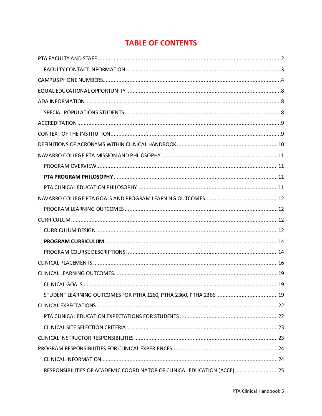# **TABLE OF CONTENTS**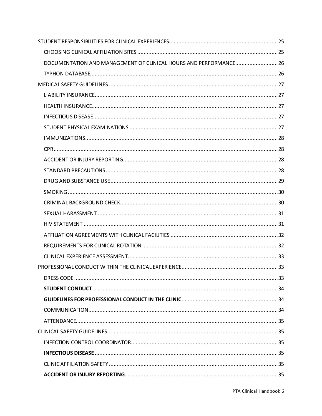| DOCUMENTATION AND MANAGEMENT OF CLINICAL HOURS AND PERFORMANCE 26 |  |
|-------------------------------------------------------------------|--|
|                                                                   |  |
|                                                                   |  |
|                                                                   |  |
|                                                                   |  |
|                                                                   |  |
|                                                                   |  |
|                                                                   |  |
|                                                                   |  |
|                                                                   |  |
|                                                                   |  |
|                                                                   |  |
|                                                                   |  |
|                                                                   |  |
|                                                                   |  |
|                                                                   |  |
|                                                                   |  |
|                                                                   |  |
|                                                                   |  |
|                                                                   |  |
|                                                                   |  |
|                                                                   |  |
|                                                                   |  |
|                                                                   |  |
|                                                                   |  |
|                                                                   |  |
|                                                                   |  |
|                                                                   |  |
|                                                                   |  |
|                                                                   |  |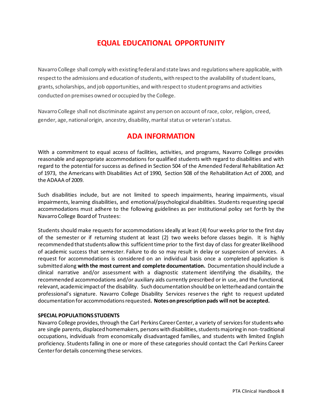# **EQUAL EDUCATIONAL OPPORTUNITY**

<span id="page-7-0"></span>Navarro College shall comply with existing federal and state laws and regulations where applicable, with respect to the admissions and education of students, with respect to the availability of student loans, grants, scholarships, and job opportunities, and with respect to student programs and activities conducted on premises owned or occupied by the College.

Navarro College shall not discriminate against any person on account of race, color, religion, creed, gender, age, national origin, ancestry, disability, marital status or veteran's status.

### **ADA INFORMATION**

<span id="page-7-1"></span>With a commitment to equal access of facilities, activities, and programs, Navarro College provides reasonable and appropriate accommodations for qualified students with regard to disabilities and with regard to the potential for success as defined in Section 504 of the Amended Federal Rehabilitation Act of 1973, the Americans with Disabilities Act of 1990, Section 508 of the Rehabilitation Act of 2000, and the ADAAA of 2009.

Such disabilities include, but are not limited to speech impairments, hearing impairments, visual impairments, learning disabilities, and emotional/psychological disabilities. Students requesting special accommodations must adhere to the following guidelines as per institutional policy set forth by the Navarro College Board of Trustees:

Students should make requests for accommodations ideally at least (4) four weeks prior to the first day of the semester or if returning student at least (2) two weeks before classes begin. It is highly recommended that students allow this sufficient time prior to the first day of class for greater likelihood of academic success that semester. Failure to do so may result in delay or suspension of services. A request for accommodations is considered on an individual basis once a completed application is submitted along **with the most current and complete documentation.** Documentation should include a clinical narrative and/or assessment with a diagnostic statement identifying the disability, the recommended accommodations and/or auxiliary aids currently prescribed or in use, and the functional, relevant, academic impact of the disability. Such documentation should be on letterhead and contain the professional's signature. Navarro College Disability Services reserves the right to request updated documentation for accommodations requested**. Notes on prescription pads will not be accepted.**

#### <span id="page-7-2"></span>**SPECIAL POPULATIONS STUDENTS**

Navarro College provides, through the Carl Perkins Career Center, a variety of services for students who are single parents, displaced homemakers, persons with disabilities, students majoring in non-traditional occupations, individuals from economically disadvantaged families, and students with limited English proficiency. Students falling in one or more of these categories should contact the Carl Perkins Career Center for details concerning these services.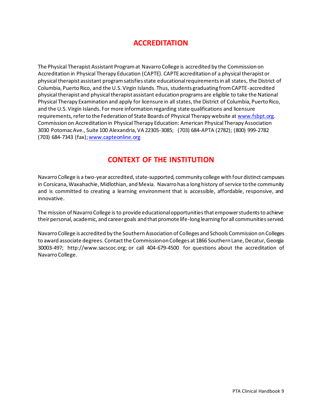### **ACCREDITATION**

<span id="page-8-0"></span>The Physical Therapist Assistant Program at Navarro College is accredited by the Commission on Accreditation in Physical Therapy Education (CAPTE). CAPTE accreditation of a physical therapist or physical therapist assistant program satisfies state educational requirements in all states, the District of Columbia, Puerto Rico, and the U.S. Virgin Islands. Thus, students graduating from CAPTE-accredited physical therapist and physical therapist assistant education programs are eligible to take the National Physical Therapy Examination and apply for licensure in all states, the District of Columbia, Puerto Rico, and the U.S. Virgin Islands. For more information regarding state qualifications and licensure requirements, refer to the Federation of State Boards of Physical Therapy website a[t www.fsbpt.org](http://www.fsbpt.org/). Commission on Accreditation in Physical Therapy Education: American Physical Therapy Association 3030 Potomac Ave., Suite 100 Alexandria, VA 22305-3085; (703) 684-APTA (2782); (800) 999-2782 (703) 684-7343 (fax)[; www.capteonline.org](http://www.capteonline.org/)

# **CONTEXT OF THE INSTITUTION**

<span id="page-8-1"></span>Navarro College is a two-year accredited, state-supported, community college with fourdistinct campuses in Corsicana, Waxahachie, Midlothian, and Mexia. Navarro has a long history of service to the community and is committed to creating a learning environment that is accessible, affordable, responsive, and innovative.

The mission of Navarro College is to provide educational opportunities that empower students to achieve their personal, academic, and career goals and that promote life-long learning for all communities served.

Navarro College is accredited by the Southern Association of Colleges and Schools Commission on Colleges to award associate degrees. Contact the Commission on Colleges at 1866 Southern Lane, Decatur, Georgia 30003-497; http://www.sacscoc.org; or call 404-679-4500 for questions about the accreditation of Navarro College.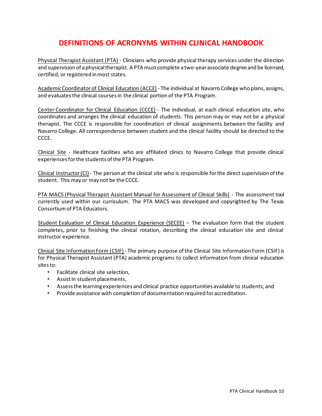# **DEFINITIONS OF ACRONYMS WITHIN CLINICAL HANDBOOK**

<span id="page-9-0"></span>Physical Therapist Assistant (PTA) - Clinicians who provide physical therapy services under the direction and supervision of a physical therapist. A PTA must complete a two-year associate degree and be licensed, certified, or registered in most states.

Academic Coordinator of Clinical Education (ACCE) - The individual at Navarro College who plans, assigns, and evaluates the clinical courses in the clinical portion of the PTA Program.

Center Coordinator for Clinical Education (CCCE) - The individual, at each clinical education site, who coordinates and arranges the clinical education of students. This person may or may not be a physical therapist. The CCCE is responsible for coordination of clinical assignments between the facility and Navarro College. All correspondence between student and the clinical facility should be directed to the CCCE.

Clinical Site - Healthcare facilities who are affiliated clinics to Navarro College that provide clinical experiences for the students of the PTA Program.

Clinical Instructor (CI) - The person at the clinical site who is responsible for the direct supervision of the student. This may or may not be the CCCE.

PTA MACS (Physical Therapist Assistant Manual for Assessment of Clinical Skills) - The assessment tool currently used within our curriculum. The PTA MACS was developed and copyrighted by The Texas Consortium of PTA Educators.

Student Evaluation of Clinical Education Experience (SECEE) – The evaluation form that the student completes, prior to finishing the clinical rotation, describing the clinical education site and clinical instructor experience.

Clinical Site Information Form (CSIF) - The primary purpose of the Clinical Site Information Form (CSIF) is for Physical Therapist Assistant (PTA) academic programs to collect information from clinical education sites to:

- Facilitate clinical site selection,
- Assist in student placements,
- Assess the learning experiences and clinical practice opportunities available to students; and
- Provide assistance with completion of documentation required for accreditation.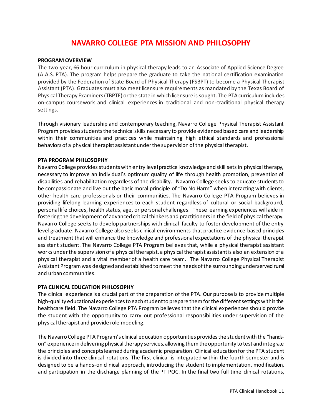### **NAVARRO COLLEGE PTA MISSION AND PHILOSOPHY**

#### <span id="page-10-1"></span><span id="page-10-0"></span>**PROGRAM OVERVIEW**

The two-year, 66-hour curriculum in physical therapy leads to an Associate of Applied Science Degree (A.A.S. PTA). The program helps prepare the graduate to take the national certification examination provided by the Federation of State Board of Physical Therapy (FSBPT) to become a Physical Therapist Assistant (PTA). Graduates must also meet licensure requirements as mandated by the Texas Board of Physical Therapy Examiners (TBPTE) or the state in which licensure is sought. The PTA curriculum includes on-campus coursework and clinical experiences in traditional and non-traditional physical therapy settings.

Through visionary leadership and contemporary teaching, Navarro College Physical Therapist Assistant Program provides students the technical skills necessary to provide evidenced based care and leadership within their communities and practices while maintaining high ethical standards and professional behaviors of a physical therapist assistant under the supervision of the physical therapist.

#### <span id="page-10-2"></span>**PTA PROGRAM PHILOSOPHY**

Navarro College provides students with entry level practice knowledge and skill sets in physical therapy, necessary to improve an individual's optimum quality of life through health promotion, prevention of disabilities and rehabilitation regardless of the disability. Navarro College seeks to educate students to be compassionate and live out the basic moral principle of "Do No Harm" when interacting with clients, other health care professionals or their communities. The Navarro College PTA Program believes in providing lifelong learning experiences to each student regardless of cultural or social background, personal life choices, health status, age, or personal challenges. These learning experiences will aide in fostering the development of advanced critical thinkers and practitioners in the field of physical therapy. Navarro College seeks to develop partnerships with clinical faculty to foster development of the entry level graduate. Navarro College also seeks clinical environments that practice evidence-based principles and treatment that will enhance the knowledge and professional expectations of the physical therapist assistant student. The Navarro College PTA Program believes that, while a physical therapist assistant works under the supervision of a physical therapist, a physical therapist assistant is also an extension of a physical therapist and a vital member of a health care team. The Navarro College Physical Therapist Assistant Program was designed and established to meet the needs of the surrounding underserved rural and urban communities.

#### <span id="page-10-3"></span>**PTA CLINICAL EDUCATION PHILOSOPHY**

The clinical experience is a crucial part of the preparation of the PTA. Our purpose is to provide multiple high-quality educational experiences to each student to prepare them for the different settings within the healthcare field. The Navarro College PTA Program believes that the clinical experiences should provide the student with the opportunity to carry out professional responsibilities under supervision of the physical therapist and provide role modeling.

The Navarro College PTA Program's clinical education opportunities provides the student with the "handson" experience in delivering physical therapy services, allowing them the opportunity to test and integrate the principles and concepts learned during academic preparation. Clinical education for the PTA student is divided into three clinical rotations. The first clinical is integrated within the fourth semester and is designed to be a hands-on clinical approach, introducing the student to implementation, modification, and participation in the discharge planning of the PT POC. In the final two full time clinical rotations,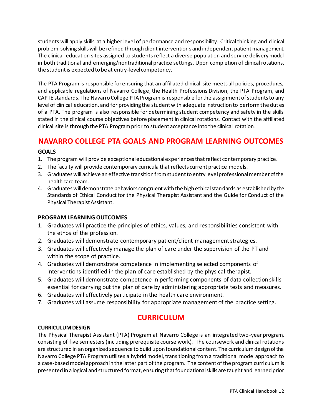students will apply skills at a higher level of performance and responsibility. Critical thinking and clinical problem-solving skills will be refined through client interventions and independent patient management. The clinical education sites assigned to students reflect a diverse population and service delivery model in both traditional and emerging/nontraditional practice settings. Upon completion of clinical rotations, the student is expected to be at entry-level competency.

The PTA Program is responsible for ensuring that an affiliated clinical site meets all policies, procedures, and applicable regulations of Navarro College, the Health Professions Division, the PTA Program, and CAPTE standards. The Navarro College PTA Program is responsible for the assignment of students to any level of clinical education, and for providing the student with adequate instruction to perform the duties of a PTA. The program is also responsible for determining student competency and safety in the skills stated in the clinical course objectives before placement in clinical rotations. Contact with the affiliated clinical site is through the PTA Programprior to student acceptance into the clinical rotation.

# <span id="page-11-0"></span>**NAVARRO COLLEGE PTA GOALS AND PROGRAM LEARNING OUTCOMES**

#### **GOALS**

- 1. The program will provide exceptional educational experiences that reflect contemporary practice.
- 2. The faculty will provide contemporary curricula that reflects current practice models.
- 3. Graduates will achieve an effective transition from student to entry level professional member of the health care team.
- 4. Graduates will demonstrate behaviors congruent with the high ethical standards as established by the Standards of Ethical Conduct for the Physical Therapist Assistant and the Guide for Conduct of the Physical Therapist Assistant.

#### <span id="page-11-1"></span>**PROGRAM LEARNING OUTCOMES**

- 1. Graduates will practice the principles of ethics, values, and responsibilities consistent with the ethos of the profession.
- 2. Graduates will demonstrate contemporary patient/client management strategies.
- 3. Graduates will effectively manage the plan of care under the supervision of the PT and within the scope of practice.
- 4. Graduates will demonstrate competence in implementing selected components of interventions identified in the plan of care established by the physical therapist.
- 5. Graduates will demonstrate competence in performing components of data collection skills essential for carrying out the plan of care by administering appropriate tests and measures.
- 6. Graduates will effectively participate in the health care environment.
- <span id="page-11-2"></span>7. Graduates will assume responsibility for appropriate management of the practice setting.

### **CURRICULUM**

#### <span id="page-11-3"></span>**CURRICULUM DESIGN**

The Physical Therapist Assistant (PTA) Program at Navarro College is an integrated two-year program, consisting of five semesters (including prerequisite course work). The coursework and clinical rotations are structured in an organized sequence to build upon foundational content. The curriculum design of the Navarro College PTA Program utilizes a hybrid model, transitioning from a traditional model approach to a case-based model approach in the latter part of the program. The content of the program curriculum is presented in a logical and structured format, ensuring that foundational skills are taught and learned prior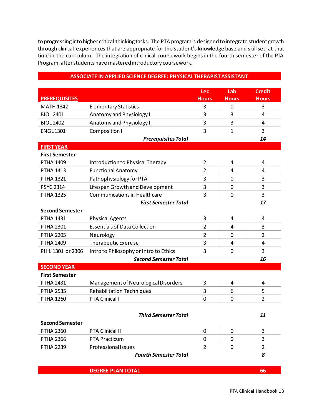to progressing into higher critical thinking tasks. The PTA program is designed to integrate student growth through clinical experiences that are appropriate for the student's knowledge base and skill set, at that time in the curriculum. The integration of clinical coursework begins in the fourth semester of the PTA Program, after students have mastered introductory coursework.

| <b>PREREQUISITES</b>   |                                        | Lec<br><b>Hours</b> | Lab<br><b>Hours</b> | <b>Credit</b><br><b>Hours</b> |
|------------------------|----------------------------------------|---------------------|---------------------|-------------------------------|
| <b>MATH 1342</b>       | <b>Elementary Statistics</b>           | 3                   | 0                   | 3                             |
| <b>BIOL 2401</b>       | Anatomy and Physiology I               | 3                   | 3                   | 4                             |
| <b>BIOL 2402</b>       | Anatomy and Physiology II              | 3                   | 3                   | 4                             |
| <b>ENGL1301</b>        | Composition I                          | 3                   | $\mathbf{1}$        | 3                             |
|                        | <b>Prerequisites Total</b>             |                     |                     | 14                            |
| <b>FIRST YEAR</b>      |                                        |                     |                     |                               |
| <b>First Semester</b>  |                                        |                     |                     |                               |
| <b>PTHA 1409</b>       | Introduction to Physical Therapy       | $\overline{2}$      | 4                   | 4                             |
| <b>PTHA 1413</b>       | <b>Functional Anatomy</b>              | $\overline{2}$      | 4                   | 4                             |
| <b>PTHA 1321</b>       | Pathophysiology for PTA                | 3                   | 0                   | 3                             |
| <b>PSYC 2314</b>       | Lifespan Growth and Development        | 3                   | $\mathbf 0$         | 3                             |
| <b>PTHA 1325</b>       | Communications in Healthcare           | 3                   | $\mathbf 0$         | 3                             |
|                        | <b>First Semester Total</b>            |                     |                     | 17                            |
| <b>Second Semester</b> |                                        |                     |                     |                               |
| <b>PTHA 1431</b>       | <b>Physical Agents</b>                 | 3                   | 4                   | 4                             |
| <b>PTHA 2301</b>       | <b>Essentials of Data Collection</b>   | $\overline{2}$      | 4                   | 3                             |
| <b>PTHA 2205</b>       | Neurology                              | $\overline{2}$      | 0                   | $\overline{2}$                |
| <b>PTHA 2409</b>       | Therapeutic Exercise                   | 3                   | 4                   | 4                             |
| PHIL 1301 or 2306      | Intro to Philosophy or Intro to Ethics | 3                   | 0                   | 3                             |
|                        | <b>Second Semester Total</b>           |                     |                     | 16                            |
| <b>SECOND YEAR</b>     |                                        |                     |                     |                               |
| <b>First Semester</b>  |                                        |                     |                     |                               |
| <b>PTHA 2431</b>       | Management of Neurological Disorders   | 3                   | 4                   | 4                             |
| <b>PTHA 2535</b>       | <b>Rehabilitation Techniques</b>       | 3                   | 6                   | 5                             |
| <b>PTHA 1260</b>       | PTA Clinical I                         | $\overline{0}$      | 0                   | $\overline{2}$                |
|                        |                                        |                     |                     |                               |
|                        | <b>Third Semester Total</b>            |                     |                     | 11                            |
| <b>Second Semester</b> |                                        |                     |                     |                               |
| <b>PTHA 2360</b>       | PTA Clinical II                        | 0                   | 0                   | 3                             |
| <b>PTHA 2366</b>       | <b>PTA Practicum</b>                   | 0                   | 0                   | 3                             |
| <b>PTHA 2239</b>       | <b>Professional Issues</b>             | $\overline{2}$      | 0                   | $\overline{2}$                |
|                        | <b>Fourth Semester Total</b>           |                     |                     | 8                             |

#### **ASSOCIATE IN APPLIED SCIENCE DEGREE: PHYSICAL THERAPIST ASSISTANT**

**DEGREE PLAN TOTAL 66**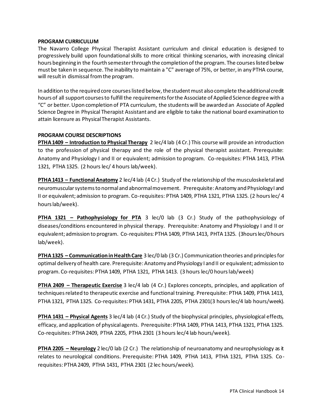#### <span id="page-13-0"></span>**PROGRAM CURRICULUM**

The Navarro College Physical Therapist Assistant curriculum and clinical education is designed to progressively build upon foundational skills to more critical thinking scenarios, with increasing clinical hours beginning in the fourth semester through the completion of the program. The courses listed below must be taken in sequence. The inability to maintain a "C" average of 75%, or better, in any PTHA course, will result in dismissal from the program.

In addition to the required core courses listed below, the student must also complete the additional credit hours of all support courses to fulfill the requirements for the Associate of Applied Science degree with a "C" or better. Upon completion of PTA curriculum, the students will be awarded an Associate of Applied Science Degree in Physical Therapist Assistant and are eligible to take the national board examination to attain licensure as Physical Therapist Assistants.

#### <span id="page-13-1"></span>**PROGRAM COURSE DESCRIPTIONS**

**PTHA 1409 – Introduction to Physical Therapy** 2 lec/4 lab (4 Cr.) This course will provide an introduction to the profession of physical therapy and the role of the physical therapist assistant. Prerequisite: Anatomy and Physiology I and II or equivalent; admission to program. Co-requisites: PTHA 1413, PTHA 1321, PTHA 1325. (2 hours lec/ 4 hours lab/week).

**PTHA 1413 – Functional Anatomy** 2 lec/4 lab (4 Cr.)Study of the relationship of the musculoskeletal and neuromuscular systems to normal and abnormal movement. Prerequisite: Anatomy and Physiology I and II or equivalent; admission to program. Co-requisites: PTHA 1409, PTHA 1321, PTHA 1325. (2 hours lec/ 4 hours lab/week).

**PTHA 1321 – Pathophysiology for PTA** 3 lec/0 lab (3 Cr.) Study of the pathophysiology of diseases/conditions encountered in physical therapy. Prerequisite: Anatomy and Physiology I and II or equivalent; admission to program. Co-requisites: PTHA 1409, PTHA 1413, PHTA 1325. (3hours lec/0 hours lab/week).

**PTHA 1325 – Communication in Health Care** 3 lec/0 lab (3 Cr.) Communication theories and principles for optimal delivery of health care. Prerequisite: Anatomy and Physiology I and II or equivalent; admission to program. Co-requisites: PTHA 1409, PTHA 1321, PTHA 1413. (3 hours lec/0 hours lab/week)

**PTHA 2409 – Therapeutic Exercise** 3 lec/4 lab (4 Cr.) Explores concepts, principles, and application of techniques related to therapeutic exercise and functional training. Prerequisite: PTHA 1409, PTHA 1413, PTHA 1321, PTHA 1325. Co-requisites: PTHA 1431, PTHA 2205, PTHA 2301(3 hours lec/4 lab hours/week).

**PTHA 1431 – Physical Agents** 3 lec/4 lab (4 Cr.) Study of the biophysical principles, physiological effects, efficacy, and application of physical agents. Prerequisite: PTHA 1409, PTHA 1413, PTHA 1321, PTHA 1325. Co-requisites: PTHA 2409, PTHA 2205, PTHA 2301 (3 hours lec/4 lab hours/week).

**PTHA 2205 – Neurology** 2 lec/0 lab (2 Cr.)The relationship of neuroanatomy and neurophysiology as it relates to neurological conditions. Prerequisite: PTHA 1409, PTHA 1413, PTHA 1321, PTHA 1325. Corequisites: PTHA 2409, PTHA 1431, PTHA 2301 (2 lec hours/week).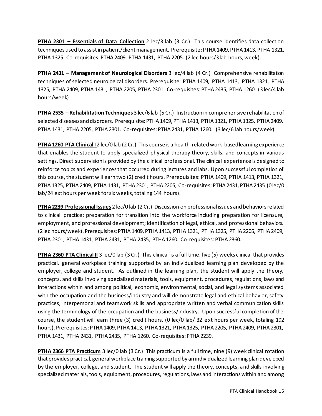**PTHA 2301 – Essentials of Data Collection** 2 lec/3 lab (3 Cr.) This course identifies data collection techniques used to assist in patient/client management. Prerequisite: PTHA 1409, PTHA 1413, PTHA 1321, PTHA 1325. Co-requisites: PTHA 2409, PTHA 1431, PTHA 2205. (2 lec hours/3 lab hours, week).

**PTHA 2431 – Management of Neurological Disorders** 3 lec/4 lab (4 Cr.) Comprehensive rehabilitation techniques of selected neurological disorders. Prerequisite: PTHA 1409, PTHA 1413, PTHA 1321, PTHA 1325, PTHA 2409, PTHA 1431, PTHA 2205, PTHA 2301. Co-requisites: PTHA 2435, PTHA 1260. (3 lec/4 lab hours/week)

**PTHA 2535 – Rehabilitation Techniques** 3 lec/6 lab (5 Cr.)Instruction in comprehensive rehabilitation of selected diseases and disorders. Prerequisite: PTHA 1409, PTHA 1413, PTHA 1321, PTHA 1325, PTHA 2409, PTHA 1431, PTHA 2205, PTHA 2301. Co-requisites: PTHA 2431, PTHA 1260. (3 lec/6 lab hours/week).

**PTHA 1260 PTA Clinical I** 2 lec/0 lab (2 Cr.)This course is a health-related work-based learning experience that enables the student to apply specialized physical therapy theory, skills, and concepts in various settings. Direct supervision is provided by the clinical professional. The clinical experience is designed to reinforce topics and experiences that occurred during lectures and labs. Upon successful completion of this course, the student will earn two (2) credit hours. Prerequisites: PTHA 1409, PTHA 1413, PTHA 1321, PTHA 1325, PTHA 2409, PTHA 1431, PTHA 2301, PTHA 2205, Co-requisites: PTHA 2431, PTHA 2435 (0 lec/0 lab/24 ext hours per week for six weeks, totaling 144 hours).

**PTHA 2239 Professional Issues** 2 lec/0 lab (2 Cr.)Discussion on professional issues and behaviors related to clinical practice; preparation for transition into the workforce including preparation for licensure, employment, and professional development; identification of legal, ethical, and professional behaviors. (2 lec hours/week). Prerequisites: PTHA 1409, PTHA 1413, PTHA 1321, PTHA 1325, PTHA 2205, PTHA 2409, PTHA 2301, PTHA 1431, PTHA 2431, PTHA 2435, PTHA 1260. Co-requisites: PTHA 2360.

**PTHA 2360 PTA Clinical II** 3 lec/0 lab (3 Cr.)This clinical is a full time, five (5) weeks clinical that provides practical, general workplace training supported by an individualized learning plan developed by the employer, college and student. As outlined in the learning plan, the student will apply the theory, concepts, and skills involving specialized materials, tools, equipment, procedures, regulations, laws and interactions within and among political, economic, environmental, social, and legal systems associated with the occupation and the business/industry and will demonstrate legal and ethical behavior, safety practices, interpersonal and teamwork skills and appropriate written and verbal communication skills using the terminology of the occupation and the business/industry. Upon successful completion of the course, the student will earn three (3) credit hours. (0 lec/0 lab/ 32 ext hours per week, totaling 192 hours). Prerequisites: PTHA 1409, PTHA 1413, PTHA 1321, PTHA 1325, PTHA 2205, PTHA 2409, PTHA 2301, PTHA 1431, PTHA 2431, PTHA 2435, PTHA 1260. Co-requisites: PTHA 2239.

**PTHA 2366 PTA Practicum** 3 lec/0 lab (3 Cr.)This practicum is a full time, nine (9) week clinical rotation that provides practical, general workplace training supported by an individualized learning plan developed by the employer, college, and student. The student will apply the theory, concepts, and skills involving specialized materials, tools, equipment, procedures, regulations, laws and interactions within and among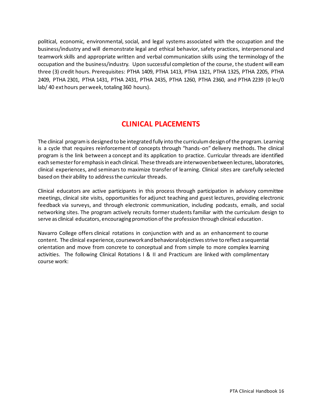political, economic, environmental, social, and legal systems associated with the occupation and the business/industry and will demonstrate legal and ethical behavior, safety practices, interpersonal and teamwork skills and appropriate written and verbal communication skills using the terminology of the occupation and the business/industry. Upon successful completion of the course, the student will earn three (3) credit hours. Prerequisites: PTHA 1409, PTHA 1413, PTHA 1321, PTHA 1325, PTHA 2205, PTHA 2409, PTHA 2301, PTHA 1431, PTHA 2431, PTHA 2435, PTHA 1260, PTHA 2360, and PTHA 2239 (0 lec/0 lab/ 40 ext hours per week, totaling 360 hours).

# **CLINICAL PLACEMENTS**

<span id="page-15-0"></span>The clinical program is designed to be integrated fully into the curriculum design of the program. Learning is a cycle that requires reinforcement of concepts through "hands-on" delivery methods. The clinical program is the link between a concept and its application to practice. Curricular threads are identified each semester for emphasis in each clinical. These threads are interwoven between lectures, laboratories, clinical experiences, and seminars to maximize transfer of learning. Clinical sites are carefully selected based on their ability to address the curricular threads.

Clinical educators are active participants in this process through participation in advisory committee meetings, clinical site visits, opportunities for adjunct teaching and guest lectures, providing electronic feedback via surveys, and through electronic communication, including podcasts, emails, and social networking sites. The program actively recruits former students familiar with the curriculum design to serve as clinical educators, encouraging promotion of the profession through clinical education.

Navarro College offers clinical rotations in conjunction with and as an enhancement to course content. The clinical experience, coursework and behavioral objectives strive to reflect a sequential orientation and move from concrete to conceptual and from simple to more complex learning activities. The following Clinical Rotations I & II and Practicum are linked with complimentary course work: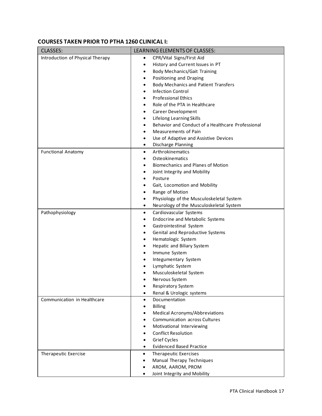#### **COURSES TAKEN PRIOR TO PTHA 1260 CLINICAL I:**

| <b>CLASSES:</b>                  | LEARNING ELEMENTS OF CLASSES:                        |
|----------------------------------|------------------------------------------------------|
| Introduction of Physical Therapy | CPR/Vital Signs/First Aid<br>$\bullet$               |
|                                  | History and Current Issues in PT<br>$\bullet$        |
|                                  | <b>Body Mechanics/Gait Training</b>                  |
|                                  | Positioning and Draping<br>$\bullet$                 |
|                                  | <b>Body Mechanics and Patient Transfers</b>          |
|                                  | <b>Infection Control</b><br>$\bullet$                |
|                                  | <b>Professional Ethics</b>                           |
|                                  | Role of the PTA in Healthcare                        |
|                                  | Career Development<br>$\bullet$                      |
|                                  | <b>Lifelong Learning Skills</b><br>$\bullet$         |
|                                  | Behavior and Conduct of a Healthcare Professional    |
|                                  | <b>Measurements of Pain</b>                          |
|                                  | Use of Adaptive and Assistive Devices<br>$\bullet$   |
|                                  | Discharge Planning<br>$\bullet$                      |
| <b>Functional Anatomy</b>        | Arthrokinematics<br>$\bullet$                        |
|                                  | Osteokinematics                                      |
|                                  | <b>Biomechanics and Planes of Motion</b>             |
|                                  | Joint Integrity and Mobility                         |
|                                  | Posture                                              |
|                                  | Gait, Locomotion and Mobility                        |
|                                  | Range of Motion<br>٠                                 |
|                                  | Physiology of the Musculoskeletal System<br>٠        |
|                                  | Neurology of the Musculoskeletal System<br>$\bullet$ |
|                                  |                                                      |
| Pathophysiology                  | Cardiovascular Systems<br>$\bullet$                  |
|                                  | <b>Endocrine and Metabolic Systems</b><br>٠          |
|                                  | Gastrointestinal System<br>$\bullet$                 |
|                                  | Genital and Reproductive Systems<br>$\bullet$        |
|                                  | Hematologic System<br>$\bullet$                      |
|                                  | Hepatic and Biliary System                           |
|                                  | Immune System<br>٠                                   |
|                                  | Integumentary System                                 |
|                                  | Lymphatic System                                     |
|                                  | Musculoskeletal System                               |
|                                  | Nervous System                                       |
|                                  | <b>Respiratory System</b><br>$\bullet$               |
|                                  | Renal & Urologic systems                             |
| Communication in Healthcare      | Documentation<br>$\bullet$                           |
|                                  | <b>Billing</b>                                       |
|                                  | Medical Acronyms/Abbreviations                       |
|                                  | <b>Communication across Cultures</b>                 |
|                                  | Motivational Interviewing                            |
|                                  | <b>Conflict Resolution</b>                           |
|                                  | <b>Grief Cycles</b>                                  |
|                                  | <b>Evidenced Based Practice</b><br>$\bullet$         |
| Therapeutic Exercise             | Therapeutic Exercises<br>$\bullet$                   |
|                                  | Manual Therapy Techniques<br>٠                       |
|                                  | AROM, AAROM, PROM<br>٠                               |
|                                  | Joint Integrity and Mobility<br>$\bullet$            |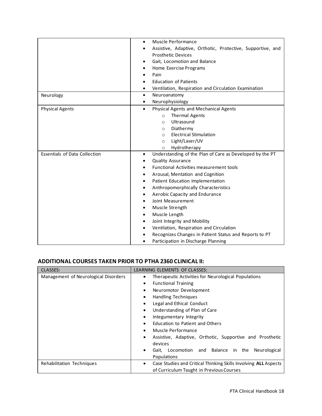|                                      | Muscle Performance<br>$\bullet$                                       |
|--------------------------------------|-----------------------------------------------------------------------|
|                                      | Assistive, Adaptive, Orthotic, Protective, Supportive, and            |
|                                      | <b>Prosthetic Devices</b>                                             |
|                                      | Gait, Locomotion and Balance                                          |
|                                      | Home Exercise Programs                                                |
|                                      | Pain                                                                  |
|                                      | <b>Education of Patients</b>                                          |
|                                      | Ventilation, Respiration and Circulation Examination<br>٠             |
| Neurology                            | Neuroanatomy<br>$\bullet$                                             |
|                                      | Neurophysiology<br>٠                                                  |
| <b>Physical Agents</b>               | Physical Agents and Mechanical Agents<br>$\bullet$                    |
|                                      | Thermal Agents<br>$\circ$                                             |
|                                      | Ultrasound<br>$\circ$                                                 |
|                                      | Diathermy<br>$\circ$                                                  |
|                                      | <b>Electrical Stimulation</b><br>$\circ$                              |
|                                      | Light/Laser/UV<br>$\circ$                                             |
|                                      | Hydrotherapy<br>$\circ$                                               |
| <b>Essentials of Data Collection</b> | Understanding of the Plan of Care as Developed by the PT<br>$\bullet$ |
|                                      | <b>Quality Assurance</b>                                              |
|                                      | Functional Activities measurement tools                               |
|                                      | Arousal, Mentation and Cognition                                      |
|                                      | Patient Education Implementation                                      |
|                                      | Anthropomorphically Characteristics<br>٠                              |
|                                      | Aerobic Capacity and Endurance                                        |
|                                      | Joint Measurement                                                     |
|                                      | Muscle Strength<br>٠                                                  |
|                                      | Muscle Length<br>$\bullet$                                            |
|                                      | Joint Integrity and Mobility                                          |
|                                      | Ventilation, Respiration and Circulation                              |
|                                      | Recognizes Changes in Patient Status and Reports to PT                |
|                                      | Participation in Discharge Planning                                   |

#### **ADDITIONAL COURSES TAKEN PRIOR TO PTHA 2360 CLINICAL II:**

| <b>CLASSES:</b>                      | LEARNING ELEMENTS OF CLASSES:                                                                       |  |  |
|--------------------------------------|-----------------------------------------------------------------------------------------------------|--|--|
| Management of Neurological Disorders | Therapeutic Activities for Neurological Populations<br>٠<br><b>Functional Training</b><br>$\bullet$ |  |  |
|                                      |                                                                                                     |  |  |
|                                      | Neuromotor Development<br>$\bullet$                                                                 |  |  |
|                                      | <b>Handling Techniques</b><br>$\bullet$                                                             |  |  |
|                                      | Legal and Ethical Conduct<br>$\bullet$                                                              |  |  |
|                                      | Understanding of Plan of Care<br>$\bullet$                                                          |  |  |
|                                      | Integumentary Integrity<br>$\bullet$                                                                |  |  |
|                                      | <b>Education to Patient and Others</b><br>$\bullet$                                                 |  |  |
|                                      | Muscle Performance<br>$\bullet$                                                                     |  |  |
|                                      | Assistive, Adaptive, Orthotic, Supportive and Prosthetic<br>$\bullet$                               |  |  |
|                                      | devices                                                                                             |  |  |
|                                      | Gait, Locomotion and Balance in the<br>Neurological<br>$\bullet$                                    |  |  |
|                                      | Populations                                                                                         |  |  |
| Rehabilitation Techniques            | Case Studies and Critical Thinking Skills Involving ALL Aspects<br>٠                                |  |  |
|                                      | of Curriculum Taught in Previous Courses                                                            |  |  |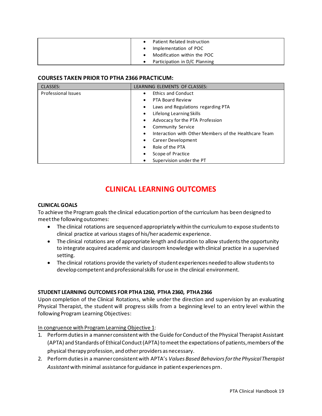| $\bullet$ | Patient Related Instruction   |
|-----------|-------------------------------|
| ٠         | Implementation of POC         |
| $\bullet$ | Modification within the POC   |
|           | Participation in D/C Planning |

#### **COURSES TAKEN PRIOR TO PTHA 2366 PRACTICUM:**

| <b>CLASSES:</b>            | LEARNING ELEMENTS OF CLASSES:                                      |
|----------------------------|--------------------------------------------------------------------|
| <b>Professional Issues</b> | <b>Ethics and Conduct</b><br>$\bullet$                             |
|                            | PTA Board Review<br>$\bullet$                                      |
|                            | Laws and Regulations regarding PTA<br>$\bullet$                    |
|                            | Lifelong Learning Skills<br>$\bullet$                              |
|                            | Advocacy for the PTA Profession<br>$\bullet$                       |
|                            | <b>Community Service</b><br>٠                                      |
|                            | Interaction with Other Members of the Healthcare Team<br>$\bullet$ |
|                            | Career Development<br>$\bullet$                                    |
|                            | Role of the PTA<br>$\bullet$                                       |
|                            | Scope of Practice<br>$\bullet$                                     |
|                            | Supervision under the PT<br>٠                                      |

# **CLINICAL LEARNING OUTCOMES**

#### <span id="page-18-1"></span><span id="page-18-0"></span>**CLINICAL GOALS**

To achieve the Program goals the clinical education portion of the curriculum has been designed to meet the following outcomes:

- The clinical rotations are sequenced appropriately within the curriculum to expose students to clinical practice at various stages of his/her academic experience.
- The clinical rotations are of appropriate length and duration to allow students the opportunity to integrate acquired academic and classroom knowledge with clinical practice in a supervised setting.
- The clinical rotations provide the variety of student experiences needed to allow students to develop competent and professional skills for use in the clinical environment.

#### <span id="page-18-2"></span>**STUDENT LEARNING OUTCOMES FOR PTHA 1260, PTHA 2360, PTHA 2366**

Upon completion of the Clinical Rotations, while under the direction and supervision by an evaluating Physical Therapist, the student will progress skills from a beginning level to an entry level within the following Program Learning Objectives:

#### In congruence with Program Learning Objective 1:

- 1. Perform duties in a manner consistent with the Guide for Conduct of the Physical Therapist Assistant (APTA) and Standards of Ethical Conduct (APTA) to meet the expectations of patients, members of the physical therapy profession, and other providers as necessary.
- 2. Perform duties in a manner consistent with APTA's *Values Based Behaviors for the Physical Therapist Assistant* with minimal assistance for guidance in patient experiences prn.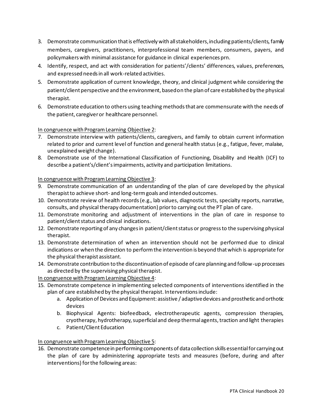- 3. Demonstrate communication that is effectively with all stakeholders, including patients/clients, family members, caregivers, practitioners, interprofessional team members, consumers, payers, and policymakers with minimal assistance for guidance in clinical experiences prn.
- 4. Identify, respect, and act with consideration for patients'/clients' differences, values, preferences, and expressed needs in all work-related activities.
- 5. Demonstrate application of current knowledge, theory, and clinical judgment while considering the patient/client perspective and the environment, based on the plan of care established by the physical therapist.
- 6. Demonstrate education to others using teaching methods that are commensurate with the needs of the patient, caregiver or healthcare personnel.

In congruence with Program Learning Objective 2:

- 7. Demonstrate interview with patients/clients, caregivers, and family to obtain current information related to prior and current level of function and general health status (e.g., fatigue, fever, malaise, unexplained weight change).
- 8. Demonstrate use of the International Classification of Functioning, Disability and Health (ICF) to describe a patient's/client's impairments, activity and participation limitations.

In congruence with Program Learning Objective 3:

- 9. Demonstrate communication of an understanding of the plan of care developed by the physical therapist to achieve short- and long-termgoals and intended outcomes.
- 10. Demonstrate review of health records (e.g., lab values, diagnostic tests, specialty reports, narrative, consults, and physical therapy documentation) prior to carrying out the PT plan of care.
- 11. Demonstrate monitoring and adjustment of interventions in the plan of care in response to patient/client status and clinical indications.
- 12. Demonstrate reporting of any changes in patient/client status or progress to the supervising physical therapist.
- 13. Demonstrate determination of when an intervention should not be performed due to clinical indications or when the direction to perform the intervention is beyond that which is appropriate for the physical therapist assistant.
- 14. Demonstrate contribution to the discontinuation of episode of care planning and follow-up processes as directed by the supervising physical therapist.

In congruence with Program Learning Objective 4:

- 15. Demonstrate competence in implementing selected components of interventions identified in the plan of care established by the physical therapist. Interventions include:
	- a. Application of Devices and Equipment: assistive / adaptive devices and prosthetic and orthotic devices
	- b. Biophysical Agents: biofeedback, electrotherapeutic agents, compression therapies, cryotherapy, hydrotherapy, superficial and deep thermal agents, traction and light therapies
	- c. Patient/Client Education

In congruence with Program Learning Objective 5:

16. Demonstrate competence in performing components of data collection skills essential for carrying out the plan of care by administering appropriate tests and measures (before, during and after interventions) for the following areas: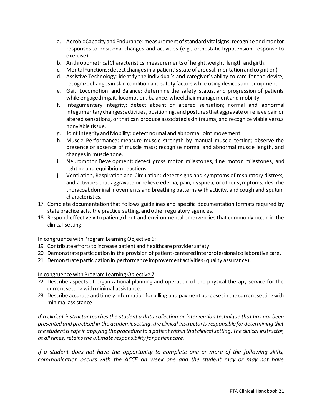- a. Aerobic Capacity and Endurance: measurement of standard vital signs; recognize and monitor responses to positional changes and activities (e.g., orthostatic hypotension, response to exercise)
- b. Anthropometrical Characteristics: measurements of height, weight, length and girth.
- c. Mental Functions: detect changes in a patient's state of arousal, mentation and cognition)
- d. Assistive Technology: identify the individual's and caregiver's ability to care for the device; recognize changes in skin condition and safety factors while using devices and equipment.
- e. Gait, Locomotion, and Balance: determine the safety, status, and progression of patients while engaged in gait, locomotion, balance, wheelchair management and mobility.
- f. Integumentary Integrity: detect absent or altered sensation; normal and abnormal integumentary changes; activities, positioning, and postures that aggravate or relieve pain or altered sensations, or that can produce associated skin trauma; and recognize viable versus nonviable tissue.
- g. Joint Integrity and Mobility: detect normal and abnormal joint movement.
- h. Muscle Performance: measure muscle strength by manual muscle testing; observe the presence or absence of muscle mass; recognize normal and abnormal muscle length, and changes in muscle tone.
- i. Neuromotor Development: detect gross motor milestones, fine motor milestones, and righting and equilibrium reactions.
- j. Ventilation, Respiration and Circulation: detect signs and symptoms of respiratory distress, and activities that aggravate or relieve edema, pain, dyspnea, or other symptoms; describe thoracoabdominal movements and breathing patterns with activity, and cough and sputum characteristics.
- 17. Complete documentation that follows guidelines and specific documentation formats required by state practice acts, the practice setting, and other regulatory agencies.
- 18. Respond effectively to patient/client and environmental emergencies that commonly occur in the clinical setting.

In congruence with Program Learning Objective 6:

- 19. Contribute efforts to increase patient and healthcare provider safety.
- 20. Demonstrate participation in the provision of patient-centered interprofessional collaborative care.
- 21. Demonstrate participation in performance improvement activities (quality assurance).

In congruence with Program Learning Objective 7:

- 22. Describe aspects of organizational planning and operation of the physical therapy service for the current setting with minimal assistance.
- 23. Describe accurate and timely information for billing and payment purposes in the current setting with minimal assistance.

*If a clinical instructor teaches the student a data collection or intervention technique that has not been presented and practiced in the academic setting, the clinical instructor is responsible for determining that the student is safe in applying the procedure to a patient within that clinical setting. The clinical instructor, at all times, retains the ultimate responsibility for patient care.*

*If a student does not have the opportunity to complete one or more of the following skills, communication occurs with the ACCE on week one and the student may or may not have*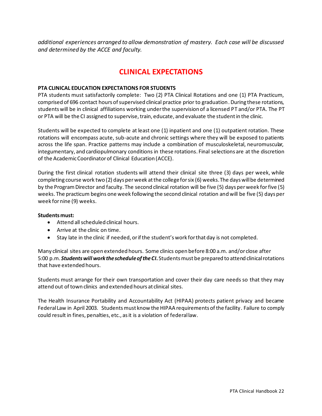<span id="page-21-0"></span>*additional experiences arranged to allow demonstration of mastery. Each case will be discussed and determined by the ACCE and faculty.*

# **CLINICAL EXPECTATIONS**

#### <span id="page-21-1"></span>**PTA CLINICAL EDUCATION EXPECTATIONS FOR STUDENTS**

PTA students must satisfactorily complete: Two (2) PTA Clinical Rotations and one (1) PTA Practicum, comprised of 696 contact hours of supervised clinical practice prior to graduation. During these rotations, students will be in clinical affiliations working under the supervision of a licensed PT and/or PTA. The PT or PTA will be the CI assigned to supervise, train, educate, and evaluate the student in the clinic.

Students will be expected to complete at least one (1) inpatient and one (1) outpatient rotation. These rotations will encompass acute, sub-acute and chronic settings where they will be exposed to patients across the life span. Practice patterns may include a combination of musculoskeletal, neuromuscular, integumentary, and cardiopulmonary conditions in these rotations. Final selections are at the discretion of the Academic Coordinator of Clinical Education (ACCE).

During the first clinical rotation students will attend their clinical site three (3) days per week, while completing course work two (2) days per week at the college for six (6) weeks. The days will be determined by the Program Director and faculty. The second clinical rotation will be five (5) days per week for five (5) weeks. The practicum begins one week following the second clinical rotation and will be five (5) days per week for nine (9) weeks.

#### **Students must:**

- Attend all scheduled clinical hours.
- Arrive at the clinic on time.
- Stay late in the clinic if needed, or if the student's work for that day is not completed.

Many clinical sites are open extended hours. Some clinics open before 8:00 a.m. and/or close after 5:00 p.m. *Students will work the schedule of the CI***.** Students must be prepared to attend clinical rotations that have extended hours.

Students must arrange for their own transportation and cover their day care needs so that they may attend out of town clinics and extended hours at clinical sites.

The Health Insurance Portability and Accountability Act (HIPAA) protects patient privacy and became Federal Law in April 2003. Students must know the HIPAA requirements of the facility. Failure to comply could result in fines, penalties, etc., as it is a violation of federal law.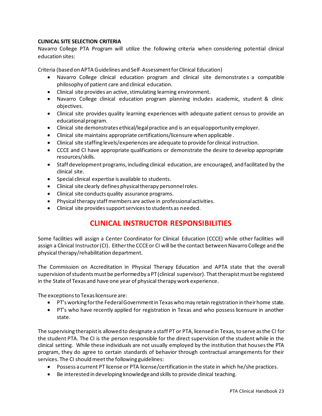#### <span id="page-22-0"></span>**CLINICAL SITE SELECTION CRITERIA**

Navarro College PTA Program will utilize the following criteria when considering potential clinical education sites:

Criteria (based on APTA Guidelines and Self-Assessment for Clinical Education)

- Navarro College clinical education program and clinical site demonstrates a compatible philosophy of patient care and clinical education.
- Clinical site provides an active, stimulating learning environment.
- Navarro College clinical education program planning includes academic, student & clinic objectives.
- Clinical site provides quality learning experiences with adequate patient census to provide an educational program.
- Clinical site demonstrates ethical/legal practice and is an equal opportunity employer.
- Clinical site maintains appropriate certifications/licensure when applicable.
- Clinical site staffing levels/experiences are adequate to provide for clinical instruction.
- CCCE and CI have appropriate qualifications or demonstrate the desire to develop appropriate resources/skills.
- Staff development programs, including clinical education, are encouraged, and facilitated by the clinical site.
- Special clinical expertise is available to students.
- Clinical site clearly defines physical therapy personnel roles.
- Clinical site conducts quality assurance programs.
- Physical therapy staff members are active in professional activities.
- <span id="page-22-1"></span>• Clinical site provides support services to students as needed.

### **CLINICAL INSTRUCTOR RESPONSIBILITIES**

Some facilities will assign a Center Coordinator for Clinical Education (CCCE) while other facilities will assign a Clinical Instructor (CI). Either the CCCE or CI will be the contact between Navarro College and the physical therapy/rehabilitation department.

The Commission on Accreditation in Physical Therapy Education and APTA state that the overall supervision of students must be performed by a PT (clinical supervisor). That therapist must be registered in the State of Texas and have one year of physical therapy work experience.

The exceptions to Texas licensure are:

- PT's working for the Federal Government in Texas who may retain registration in their home state.
- PT's who have recently applied for registration in Texas and who possess licensure in another state.

The supervising therapist is allowed to designate a staff PT or PTA, licensed in Texas, to serve as the CI for the student PTA. The CI is the person responsible for the direct supervision of the student while in the clinical setting. While these individuals are not usually employed by the institution that houses the PTA program, they do agree to certain standards of behavior through contractual arrangements for their services. The CI should meet the following guidelines:

- Possess a current PT license or PTA license/certification in the state in which he/she practices.
- Be interested in developing knowledge and skills to provide clinical teaching.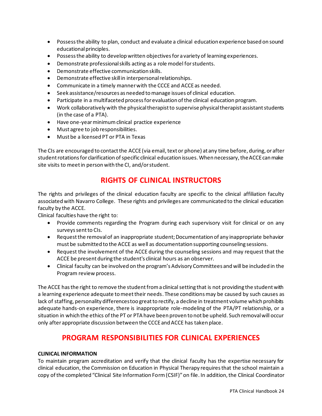- Possess the ability to plan, conduct and evaluate a clinical education experience based on sound educational principles.
- Possess the ability to develop written objectives for a variety of learning experiences.
- Demonstrate professional skills acting as a role model for students.
- Demonstrate effective communication skills.
- Demonstrate effective skill in interpersonal relationships.
- Communicate in a timely manner with the CCCE and ACCE as needed.
- Seek assistance/resources as needed to manage issues of clinical education.
- Participate in a multifaceted process for evaluation of the clinical education program.
- Work collaboratively with the physical therapist to supervise physical therapist assistant students (in the case of a PTA).
- Have one-year minimum clinical practice experience
- Must agree to job responsibilities.
- Must be a licensed PT or PTA in Texas

The CIs are encouraged to contact the ACCE (via email, text or phone) at any time before, during, or after student rotations for clarification of specific clinical education issues. When necessary, the ACCE can make site visits to meet in person with the CI, and/or student.

### **RIGHTS OF CLINICAL INSTRUCTORS**

The rights and privileges of the clinical education faculty are specific to the clinical affiliation faculty associated with Navarro College. These rights and privileges are communicated to the clinical education faculty by the ACCE.

Clinical faculties have the right to:

- Provide comments regarding the Program during each supervisory visit for clinical or on any surveys sent to CIs.
- Request the removal of an inappropriate student; Documentation of any inappropriate behavior must be submitted to the ACCE as well as documentation supporting counseling sessions.
- Request the involvement of the ACCE during the counseling sessions and may request that the ACCE be present during the student's clinical hours as an observer.
- Clinical faculty can be involved on the program's Advisory Committees and will be included in the Program review process.

The ACCE has the right to remove the student from a clinical setting that is not providing the student with a learning experience adequate to meet their needs. These conditions may be caused by such causes as lack of staffing, personality differences too great to rectify, a decline in treatment volume which prohibits adequate hands-on experience, there is inappropriate role-modeling of the PTA/PT relationship, or a situation in which the ethics of the PT or PTA have been proven to not be upheld. Such removal will occur only after appropriate discussion between the CCCE and ACCE has taken place.

### **PROGRAM RESPONSIBILITIES FOR CLINICAL EXPERIENCES**

#### <span id="page-23-1"></span><span id="page-23-0"></span>**CLINICAL INFORMATION**

To maintain program accreditation and verify that the clinical faculty has the expertise necessary for clinical education, the Commission on Education in Physical Therapy requires that the school maintain a copy of the completed "Clinical Site Information Form (CSIF)" on file. In addition, the Clinical Coordinator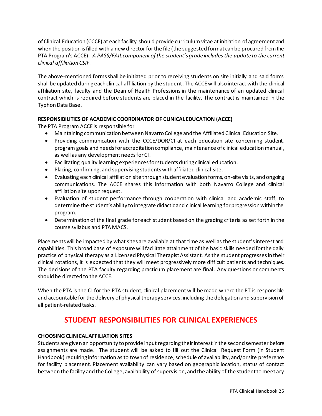of Clinical Education (CCCE) at each facility should provide curriculum vitae at initiation of agreement and when the position is filled with a new director for the file (the suggested format can be procured from the PTA Program's ACCE). *A PASS/FAIL component of the student's grade includes the update to the current clinical affiliation CSIF.*

The above-mentioned forms shall be initiated prior to receiving students on site initially and said forms shall be updated during each clinical affiliation by the student. The ACCE will also interact with the clinical affiliation site, faculty and the Dean of Health Professions in the maintenance of an updated clinical contract which is required before students are placed in the facility. The contract is maintained in the Typhon Data Base.

#### <span id="page-24-0"></span>**RESPONSIBILITIES OF ACADEMIC COORDINATOR OF CLINICAL EDUCATION (ACCE)**

The PTA Program ACCE is responsible for

- Maintaining communication between Navarro College and the Affiliated Clinical Education Site.
- Providing communication with the CCCE/DOR/CI at each education site concerning student, program goals and needs for accreditation compliance, maintenance of clinical education manual, as well as any development needs for CI.
- Facilitating quality learning experiences for students during clinical education.
- Placing, confirming, and supervising students with affiliated clinical site.
- Evaluating each clinical affiliation site through student evaluation forms, on-site visits, and ongoing communications. The ACCE shares this information with both Navarro College and clinical affiliation site upon request.
- Evaluation of student performance through cooperation with clinical and academic staff, to determine the student's ability to integrate didactic and clinical learning for progression within the program.
- Determination of the final grade for each student based on the grading criteria as set forth in the course syllabus and PTA MACS.

Placements will be impacted by what sites are available at that time as well as the student's interest and capabilities. This broad base of exposure will facilitate attainment of the basic skills needed for the daily practice of physical therapy as a Licensed Physical Therapist Assistant. As the student progresses in their clinical rotations, it is expected that they will meet progressively more difficult patients and techniques. The decisions of the PTA faculty regarding practicum placement are final. Any questions or comments should be directed to the ACCE.

<span id="page-24-1"></span>When the PTA is the CI for the PTA student, clinical placement will be made where the PT is responsible and accountable for the delivery of physical therapy services, including the delegation and supervision of all patient-related tasks.

### **STUDENT RESPONSIBILITIES FOR CLINICAL EXPERIENCES**

#### <span id="page-24-2"></span>**CHOOSING CLINICAL AFFILIATION SITES**

Students are given an opportunity to provide input regarding their interest in the second semester before assignments are made. The student will be asked to fill out the Clinical Request Form (in Student Handbook) requiring information as to town of residence, schedule of availability, and/or site preference for facility placement. Placement availability can vary based on geographic location, status of contact between the facility and the College, availability of supervision, and the ability of the student to meet any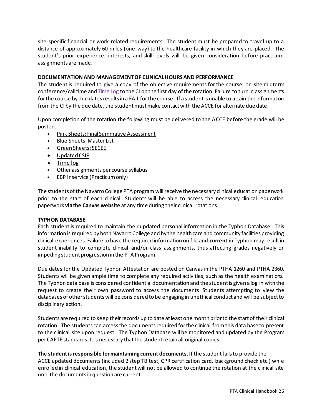site-specific financial or work-related requirements. The student must be prepared to travel up to a distance of approximately 60 miles (one-way) to the healthcare facility in which they are placed. The student's prior experience, interests, and skill levels will be given consideration before practicum assignments are made.

#### <span id="page-25-0"></span>**DOCUMENTATION AND MANAGEMENT OF CLINICAL HOURS AND PERFORMANCE**

The student is required to give a copy of the objective requirements for the course, on-site midterm conference/call time and Time Log to the CI on the first day of the rotation. Failure to turn in assignments for the course by due dates results in a FAIL for the course. If a student is unable to attain the information from the CI by the due date, the student must make contact with the ACCE for alternate due date.

Upon completion of the rotation the following must be delivered to the ACCE before the grade will be posted.

- Pink Sheets: Final Summative Assessment
- Blue Sheets: Master List
- Green Sheets: SECEE
- Updated CSIF
- Time log
- Other assignments per course syllabus
- EBP Inservice (Practicum only)

The students of the Navarro College PTA program will receive the necessary clinical education paperwork prior to the start of each clinical. Students will be able to access the necessary clinical education paperwork **via the Canvas website** at any time during their clinical rotations.

#### <span id="page-25-1"></span>**TYPHON DATABASE**

Each student is required to maintain their updated personal information in the Typhon Database. This information is required by both Navarro College and by the health care and community facilities providing clinical experiences. Failure to have the required information on file and **current** in Typhon may result in student inability to complete clinical and/or class assignments, thus affecting grades negatively or impeding student progression in the PTA Program.

Due dates for the Updated Typhon Attestation are posted on Canvas in the PTHA 1260 and PTHA 2360. Students will be given ample time to complete any required activities, such as the health examinations. The Typhon data base is considered confidential documentation and the student is given a log in with the request to create their own password to access the documents. Students attempting to view the databases of other students will be considered to be engaging in unethical conduct and will be subject to disciplinary action.

Students are required to keep their records up to date at least one month prior to the start of their clinical rotation. The students can access the documents required for the clinical from this data base to present to the clinical site upon request. The Typhon Database will be monitored and updated by the Program per CAPTE standards. It is necessary that the student retain all original copies.

**The student is responsible for maintaining current documents**. If the student fails to provide the ACCE updated documents (included 2 step TB test, CPR certification card, background check etc.) while enrolled in clinical education, the student will not be allowed to continue the rotation at the clinical site until the documents in question are current.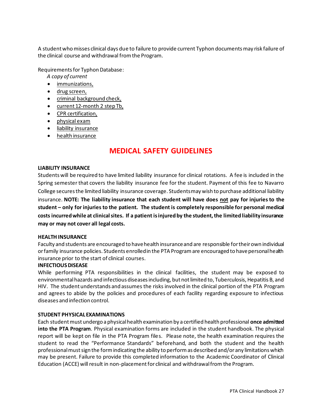A student who misses clinical days due to failure to provide current Typhon documents may risk failure of the clinical course and withdrawal from the Program.

Requirements for Typhon Database:

- *A copy of current*
- immunizations,
- drug screen,
- criminal background check,
- current 12-month 2 step Tb,
- CPR certification,
- physical exam
- liability insurance
- <span id="page-26-0"></span>• health insurance

### **MEDICAL SAFETY GUIDELINES**

#### <span id="page-26-1"></span>**LIABILITY INSURANCE**

Students will be required to have limited liability insurance for clinical rotations. A fee is included in the Spring semester that covers the liability insurance fee for the student. Payment of this fee to Navarro College secures the limited liability insurance coverage. Students may wish to purchase additional liability insurance. **NOTE: The liability insurance that each student will have does not pay for injuries to the student – only for injuries to the patient. The student is completely responsible for personal medical costs incurred while at clinical sites. If a patient is injured by the student, the limited liability insurance may or may not cover all legal costs.**

#### <span id="page-26-2"></span>**HEALTH INSURANCE**

Faculty and students are encouraged to have health insurance and are responsible for their own individual or family insurance policies. Students enrolled in the PTA Program are encouraged to have personal health insurance prior to the start of clinical courses.

#### <span id="page-26-3"></span>**INFECTIOUS DISEASE**

While performing PTA responsibilities in the clinical facilities, the student may be exposed to environmental hazards and infectious diseases including, but not limited to, Tuberculosis, Hepatitis B, and HIV. The student understands and assumes the risks involved in the clinical portion of the PTA Program and agrees to abide by the policies and procedures of each facility regarding exposure to infectious diseases and infection control.

#### <span id="page-26-4"></span>**STUDENT PHYSICAL EXAMINATIONS**

Each student must undergo a physical health examination by a certified health professional **once admitted into the PTA Program**. Physical examination forms are included in the student handbook. The physical report will be kept on file in the PTA Program files. Please note, the health examination requires the student to read the "Performance Standards" beforehand, and both the student and the health professional must sign the form indicating the ability to perform as described and/or any limitations which may be present. Failure to provide this completed information to the Academic Coordinator of Clinical Education (ACCE) will result in non-placement for clinical and withdrawal from the Program.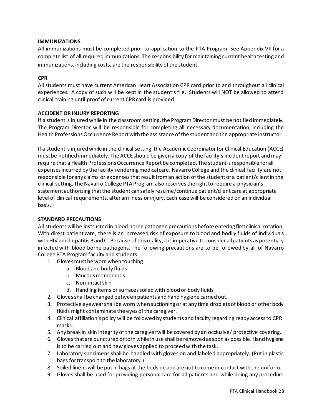#### <span id="page-27-0"></span>**IMMUNIZATIONS**

All immunizations must be completed prior to application to the PTA Program. See Appendix VII for a complete list of all required immunizations. The responsibility for maintaining current health testing and immunizations, including costs, are the responsibility of the student.

#### <span id="page-27-1"></span>**CPR**

All students must have current American Heart Association CPR card prior to and throughout all clinical experiences. A copy of such will be kept in the student's file. Students will NOT be allowed to attend clinical training until proof of current CPR card is provided.

#### <span id="page-27-2"></span>**ACCIDENT OR INJURY REPORTING**

If a student is injured while in the classroom setting, the Program Director must be notified immediately. The Program Director will be responsible for completing all necessary documentation, including the Health Professions Occurrence Report with the assistance of the student and the appropriate instructor.

If a student is injured while in the clinical setting, the Academic Coordinator for Clinical Education (ACCE) must be notified immediately. The ACCE should be given a copy of the facility's incident report and may require that a Health Professions Occurrence Report be completed. The student is responsible for all expenses incurred by the facility rendering medical care. Navarro College and the clinical facility are not responsible for any claims or expenses that result from an action of the student or a patient/client in the clinical setting. The Navarro College PTA Program also reserves the right to require a physician's statement authorizing that the student can safely resume/continue patient/client care at appropriate level of clinical requirements, after an illness or injury. Each case will be considered on an individual basis.

#### <span id="page-27-3"></span>**STANDARD PRECAUTIONS**

All students will be instructed in blood borne pathogen precautions before entering first clinical rotation. With direct patient care, there is an increased risk of exposure to blood and bodily fluids of individuals with HIV and hepatitis B and C. Because of this reality, it is imperative to consider all patients as potentially infected with blood borne pathogens. The following precautions are to be followed by all of Navarro College PTA Program faculty and students:

- 1. Gloves must be worn when touching:
	- a. Blood and body fluids
	- b. Mucous membranes
	- c. Non-intact skin
	- d. Handling items or surfaces soiled with blood or body fluids
- 2. Gloves shall be changed between patients and hand hygiene carried out.
- 3. Protective eyewear shall be worn when suctioning or at any time droplets of blood or other body fluids might contaminate the eyes of the caregiver.
- 4. Clinical affiliation's policy will be followed by students and faculty regarding ready access to CPR masks.
- 5. Any break in skin integrity of the caregiver will be covered by an occlusive/ protective covering.
- 6. Gloves that are punctured or torn while in use shall be removed as soon as possible. Hand hygiene is to be carried out and new gloves applied to proceed with the task.
- 7. Laboratory specimens shall be handled with gloves on and labeled appropriately. (Put in plastic bags for transport to the laboratory.)
- 8. Soiled linens will be put in bags at the bedside and are not to come in contact with the uniform.
- 9. Gloves shall be used for providing personal care for all patients and while doing any procedure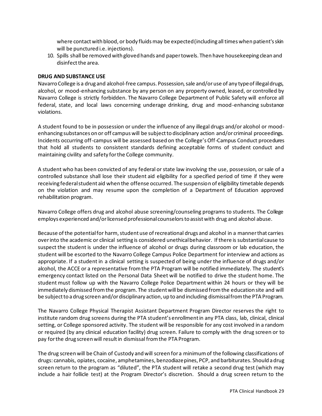where contact with blood, or body fluids may be expected (including all times when patient's skin will be punctured i.e. injections).

10. Spills shall be removed with gloved hands and paper towels. Then have housekeeping clean and disinfect the area.

#### <span id="page-28-0"></span>**DRUG AND SUBSTANCE USE**

Navarro College is a drug and alcohol-free campus. Possession, sale and/or use of any type of illegal drugs, alcohol, or mood-enhancing substance by any person on any property owned, leased, or controlled by Navarro College is strictly forbidden. The Navarro College Department of Public Safety will enforce all federal, state, and local laws concerning underage drinking, drug and mood-enhancing substance violations.

A student found to be in possession or under the influence of any illegal drugs and/or alcohol or moodenhancing substances on or off campus will be subject to disciplinary action and/or criminal proceedings. Incidents occurring off-campus will be assessed based on the College's Off-Campus Conduct procedures that hold all students to consistent standards defining acceptable forms of student conduct and maintaining civility and safety for the College community.

A student who has been convicted of any federal or state law involving the use, possession, or sale of a controlled substance shall lose their student aid eligibility for a specified period of time if they were receiving federal student aid when the offense occurred. The suspension of eligibility timetable depends on the violation and may resume upon the completion of a Department of Education approved rehabilitation program.

Navarro College offers drug and alcohol abuse screening/counseling programs to students. The College employs experienced and/or licensed professional counselors to assist with drug and alcohol abuse.

Because of the potential for harm, student use of recreational drugs and alcohol in a manner that carries over into the academic or clinical setting is considered unethical behavior. If there is substantial cause to suspect the student is under the influence of alcohol or drugs during classroom or lab education, the student will be escorted to the Navarro College Campus Police Department for interview and actions as appropriate. If a student in a clinical setting is suspected of being under the influence of drugs and/or alcohol, the ACCE or a representative from the PTA Program will be notified immediately. The student's emergency contact listed on the Personal Data Sheet will be notified to drive the student home. The student must follow up with the Navarro College Police Department within 24 hours or they will be immediately dismissed from the program. The student will be dismissed from the education site and will be subject to a drug screen and/or disciplinary action, up to and including dismissal from the PTA Program.

The Navarro College Physical Therapist Assistant Department Program Director reserves the right to institute random drug screens during the PTA student's enrollment in any PTA class, lab, clinical, clinical setting, or College sponsored activity. The student will be responsible for any cost involved in a random or required (by any clinical education facility) drug screen. Failure to comply with the drug screen or to pay for the drug screen will result in dismissal from the PTA Program.

The drug screen will be Chain of Custody and will screen for a minimum of the following classifications of drugs: cannabis, opiates, cocaine, amphetamines, benzodiazepines, PCP, and barbiturates. Should a drug screen return to the program as "diluted", the PTA student will retake a second drug test (which may include a hair follicle test) at the Program Director's discretion. Should a drug screen return to the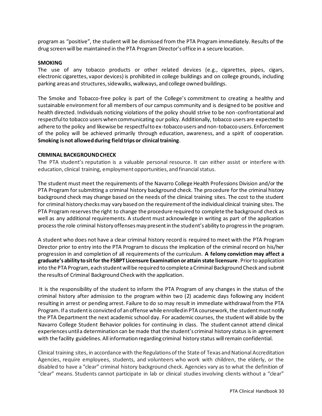program as "positive", the student will be dismissed from the PTA Program immediately. Results of the drug screen will be maintained in the PTA Program Director's office in a secure location.

#### <span id="page-29-0"></span>**SMOKING**

The use of any tobacco products or other related devices (e.g., cigarettes, pipes, cigars, electronic cigarettes, vapor devices) is prohibited in college buildings and on college grounds, including parking areas and structures, sidewalks, walkways, and college owned buildings.

The Smoke and Tobacco-free policy is part of the College's commitment to creating a healthy and sustainable environment for all members of our campus community and is designed to be positive and health directed. Individuals noticing violations of the policy should strive to be non-confrontational and respectful to tobacco users when communicating our policy. Additionally, tobacco users are expected to adhere to the policy and likewise be respectful to ex-tobacco users and non-tobacco users. Enforcement of the policy will be achieved primarily through education, awareness, and a spirit of cooperation. **Smoking is not allowed during field trips or clinical training**.

#### <span id="page-29-1"></span>**CRIMINAL BACKGROUND CHECK**

The PTA student's reputation is a valuable personal resource. It can either assist or interfere with education, clinical training, employment opportunities, and financial status.

The student must meet the requirements of the Navarro College Health Professions Division and/or the PTA Program for submitting a criminal history background check. The procedure for the criminal history background check may change based on the needs of the clinical training sites. The cost to the student for criminal history checks may vary based on the requirement of the individual clinical training sites. The PTA Program reserves the right to change the procedure required to complete the background check as well as any additional requirements. A student must acknowledge in writing as part of the application process the role criminal history offenses may present in the student's ability to progress in the program.

A student who does not have a clear criminal history record is required to meet with the PTA Program Director prior to entry into the PTA Program to discuss the implication of the criminal record on his/her progression in and completion of all requirements of the curriculum. **A felony conviction may affect a graduate's ability to sit for the FSBPT Licensure Examination or attain state licensure**. Prior to application into the PTA Program, each student will be required to complete a Criminal Background Check and submit the results of Criminal Background Check with the application.

It is the responsibility of the student to inform the PTA Program of any changes in the status of the criminal history after admission to the program within two (2) academic days following any incident resulting in arrest or pending arrest. Failure to do so may result in immediate withdrawal from the PTA Program. If a student is convicted of an offense while enrolled in PTA coursework, the student must notify the PTA Department the next academic school day. For academic courses, the student will abide by the Navarro College Student Behavior policies for continuing in class. The student cannot attend clinical experiences until a determination can be made that the student's criminal history status is in agreement with the facility guidelines. All information regarding criminal history status will remain confidential.

Clinical training sites, in accordance with the Regulations of the State of Texas and National Accreditation Agencies, require employees, students, and volunteers who work with children, the elderly, or the disabled to have a "clear" criminal history background check. Agencies vary as to what the definition of "clear" means. Students cannot participate in lab or clinical studies involving clients without a "clear"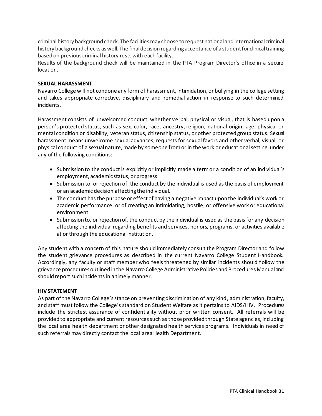criminal history background check. The facilities may choose to request national and international criminal history background checks as well. The final decision regarding acceptance of a student for clinical training based on previous criminal history rests with each facility.

Results of the background check will be maintained in the PTA Program Director's office in a secure location.

#### <span id="page-30-0"></span>**SEXUAL HARASSMENT**

Navarro College will not condone any form of harassment, intimidation, or bullying in the college setting and takes appropriate corrective, disciplinary and remedial action in response to such determined incidents.

Harassment consists of unwelcomed conduct, whether verbal, physical or visual, that is based upon a person's protected status, such as sex, color, race, ancestry, religion, national origin, age, physical or mental condition or disability, veteran status, citizenship status, or other protected group status. Sexual harassment means unwelcome sexual advances, requests for sexual favors and other verbal, visual, or physical conduct of a sexual nature, made by someone from or in the work or educational setting, under any of the following conditions:

- Submission to the conduct is explicitly or implicitly made a term or a condition of an individual's employment, academic status, or progress.
- Submission to, or rejection of, the conduct by the individual is used as the basis of employment or an academic decision affecting the individual.
- The conduct has the purpose or effect of having a negative impact upon the individual's work or academic performance, or of creating an intimidating, hostile, or offensive work or educational environment.
- Submission to, or rejection of, the conduct by the individual is used as the basis for any decision affecting the individual regarding benefits and services, honors, programs, or activities available at or through the educational institution.

Any student with a concern of this nature should immediately consult the Program Director and follow the student grievance procedures as described in the current Navarro College Student Handbook. Accordingly, any faculty or staff member who feels threatened by similar incidents should f ollow the grievance procedures outlined in the Navarro College Administrative Policies and Procedures Manual and should report such incidents in a timely manner.

#### <span id="page-30-1"></span>**HIV STATEMENT**

As part of the Navarro College's stance on preventing discrimination of any kind, administration, faculty, and staff must follow the College's standard on Student Welfare as it pertains to AIDS/HIV. Procedures include the strictest assurance of confidentiality without prior written consent. All referrals will be provided to appropriate and current resources such as those provided through State agencies, including the local area health department or other designated health services programs. Individuals in need of such referrals may directly contact the local area Health Department.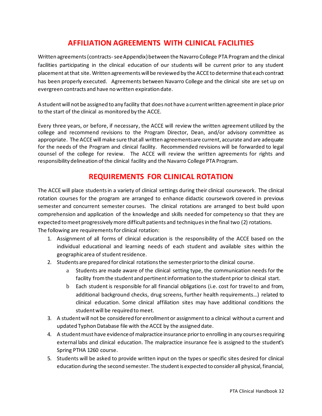# **AFFILIATION AGREEMENTS WITH CLINICAL FACILITIES**

<span id="page-31-0"></span>Written agreements (contracts-see Appendix) between the Navarro College PTA Program and the clinical facilities participating in the clinical education of our students will be current prior to any student placement at that site. Written agreements will be reviewed by the ACCE to determine that each contract has been properly executed. Agreements between Navarro College and the clinical site are set up on evergreen contracts and have no written expiration date.

A student will not be assigned to any facility that does not have a current written agreement in place prior to the start of the clinical as monitored by the ACCE.

Every three years, or before, if necessary, the ACCE will review the written agreement utilized by the college and recommend revisions to the Program Director, Dean, and/or advisory committee as appropriate. The ACCE will make sure that all written agreements are current, accurate and are adequate for the needs of the Program and clinical facility. Recommended revisions will be forwarded to legal counsel of the college for review. The ACCE will review the written agreements for rights and responsibility delineation of the clinical facility and the Navarro College PTA Program.

### **REQUIREMENTS FOR CLINICAL ROTATION**

<span id="page-31-1"></span>The ACCE will place students in a variety of clinical settings during their clinical coursework. The clinical rotation courses for the program are arranged to enhance didactic coursework covered in previous semester and concurrent semester courses. The clinical rotations are arranged to best build upon comprehension and application of the knowledge and skills needed for competency so that they are expected to meet progressively more difficult patients and techniques in the final two (2) rotations. The following are requirements for clinical rotation:

- 1. Assignment of all forms of clinical education is the responsibility of the ACCE based on the individual educational and learning needs of each student and available sites within the geographic area of student residence.
- 2. Students are prepared for clinical rotations the semester prior to the clinical course.
	- a Students are made aware of the clinical setting type, the communication needs for the facility from the student and pertinent information to the student prior to clinical start.
	- b Each student is responsible for all financial obligations (i.e. cost for travel to and from, additional background checks, drug screens, further health requirements…) related to clinical education. Some clinical affiliation sites may have additional conditions the student will be required to meet.
- 3. A student will not be considered for enrollment or assignment to a clinical without a current and updated Typhon Database file with the ACCE by the assigned date.
- 4. A student must have evidence of malpractice insurance prior to enrolling in any courses requiring external labs and clinical education. The malpractice insurance fee is assigned to the student's Spring PTHA 1260 course.
- 5. Students will be asked to provide written input on the types or specific sites desired for clinical education during the second semester. The student is expected to consider all physical, financial,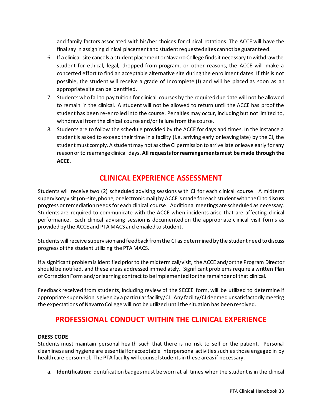and family factors associated with his/her choices for clinical rotations. The ACCE will have the final say in assigning clinical placement and student requested sites cannot be guaranteed.

- 6. If a clinical site cancels a student placement or Navarro College finds it necessary to withdraw the student for ethical, legal, dropped from program, or other reasons, the ACCE will make a concerted effort to find an acceptable alternative site during the enrollment dates. If this is not possible, the student will receive a grade of Incomplete (I) and will be placed as soon as an appropriate site can be identified.
- 7. Students who fail to pay tuition for clinical courses by the required due date will not be allowed to remain in the clinical. A student will not be allowed to return until the ACCE has proof the student has been re-enrolled into the course. Penalties may occur, including but not limited to, withdrawal from the clinical course and/or failure from the course.
- 8. Students are to follow the schedule provided by the ACCE for days and times. In the instance a student is asked to exceed their time in a facility (i.e. arriving early or leaving late) by the CI, the student must comply. A student may not ask the CI permission to arrive late or leave early for any reason or to rearrange clinical days. **All requests for rearrangements must be made through the ACCE.**

# **CLINICAL EXPERIENCE ASSESSMENT**

<span id="page-32-0"></span>Students will receive two (2) scheduled advising sessions with CI for each clinical course. A midterm supervisory visit (on-site, phone, or electronic mail) by ACCEis made for each student with the CI to discuss progress or remediation needs for each clinical course. Additional meetings are scheduled as necessary. Students are required to communicate with the ACCE when incidents arise that are affecting clinical performance. Each clinical advising session is documented on the appropriate clinical visit forms as provided by the ACCE and PTA MACS and emailed to student.

Students will receive supervision and feedback from the CI as determined by the student need to discuss progress of the student utilizing the PTA MACS.

If a significant problem is identified prior to the midterm call/visit, the ACCE and/or the Program Director should be notified, and these areas addressed immediately. Significant problems require a written Plan of Correction Form and/or learning contract to be implemented for the remainder of that clinical.

Feedback received from students, including review of the SECEE form, will be utilized to determine if appropriate supervision is given by a particular facility/CI. Any facility/CI deemed unsatisfactorily meeting the expectations of Navarro College will not be utilized until the situation has been resolved.

# <span id="page-32-1"></span>**PROFESSIONAL CONDUCT WITHIN THE CLINICAL EXPERIENCE**

#### <span id="page-32-2"></span>**DRESS CODE**

Students must maintain personal health such that there is no risk to self or the patient. Personal cleanliness and hygiene are essential for acceptable interpersonal activities such as those engaged in by health care personnel. The PTA faculty will counsel students in these areas if necessary.

a. **Identification**: identification badges must be worn at all times when the student is in the clinical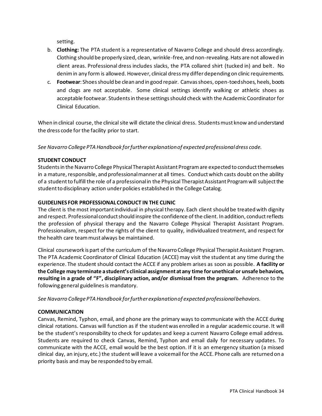setting.

- b. **Clothing:** The PTA student is a representative of Navarro College and should dress accordingly. Clothing should be properly sized, clean, wrinkle-free, and non-revealing. Hats are not allowed in client areas. Professional dress includes slacks, the PTA collared shirt (tucked in) and belt. No denimin any form is allowed. However, clinical dress my differ depending on clinic requirements.
- c. **Footwear**: Shoes should be clean and in good repair. Canvas shoes, open-toed shoes, heels, boots and clogs are not acceptable. Some clinical settings identify walking or athletic shoes as acceptable footwear. Students in these settings should check with the Academic Coordinator for Clinical Education.

When in clinical course, the clinical site will dictate the clinical dress. Students must know and understand the dress code for the facility prior to start.

*See Navarro College PTA Handbook for further explanation of expected professional dress code.*

#### <span id="page-33-0"></span>**STUDENT CONDUCT**

Students in the Navarro College Physical Therapist Assistant Program are expected to conduct themselves in a mature, responsible, and professional manner at all times. Conduct which casts doubt on the ability of a student to fulfill the role of a professional in the Physical Therapist Assistant Program will subject the student to disciplinary action under policies established in the College Catalog.

#### <span id="page-33-1"></span>**GUIDELINES FOR PROFESSIONAL CONDUCT IN THE CLINIC**

The client is the most important individual in physical therapy. Each client should be treated with dignity and respect. Professional conduct should inspire the confidence of the client. In addition, conduct reflects the profession of physical therapy and the Navarro College Physical Therapist Assistant Program. Professionalism, respect for the rights of the client to quality, individualized treatment, and respect for the health care team must always be maintained.

Clinical coursework is part of the curriculum of the Navarro College Physical Therapist Assistant Program. The PTA Academic Coordinator of Clinical Education (ACCE) may visit the student at any time during the experience. The student should contact the ACCE if any problem arises as soon as possible. **A facility or the College may terminate a student's clinical assignment at any time for unethical or unsafe behaviors, resulting in a grade of "F", disciplinary action, and/or dismissal from the program.** Adherence to the following general guidelines is mandatory.

*See Navarro College PTA Handbook for further explanation of expected professional behaviors.*

#### <span id="page-33-2"></span>**COMMUNICATION**

Canvas, Remind, Typhon, email, and phone are the primary ways to communicate with the ACCE during clinical rotations. Canvas will function as if the student was enrolled in a regular academic course. It will be the student's responsibility to check for updates and keep a current Navarro College email address. Students are required to check Canvas, Remind, Typhon and email daily for necessary updates. To communicate with the ACCE, email would be the best option. If it is an emergency situation (a missed clinical day, an injury, etc.) the student will leave a voicemail for the ACCE. Phone calls are returned on a priority basis and may be responded to by email.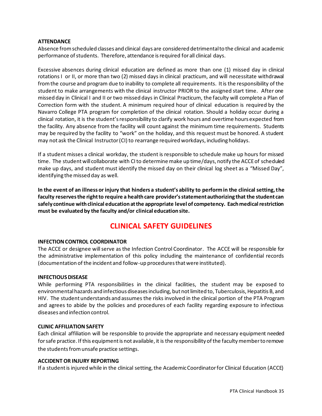#### <span id="page-34-0"></span>**ATTENDANCE**

Absence from scheduled classes and clinical days are considered detrimental to the clinical and academic performance of students. Therefore, attendance is required for all clinical days.

Excessive absences during clinical education are defined as more than one (1) missed day in clinical rotations I or II, or more than two (2) missed days in clinical practicum, and will necessitate withdrawal from the course and program due to inability to complete all requirements. It is the responsibility of the student to make arrangements with the clinical instructor PRIOR to the assigned start time. After one missed day in Clinical I and II or two missed days in Clinical Practicum, the faculty will complete a Plan of Correction form with the student. A minimum required hour of clinical education is required by the Navarro College PTA program for completion of the clinical rotation. Should a holiday occur during a clinical rotation, it is the student's responsibility to clarify work hours and overtime hours expected from the facility. Any absence from the facility will count against the minimum time requirements. Students may be required by the facility to "work" on the holiday, and this request must be honored. A student may not ask the Clinical Instructor (CI) to rearrange required workdays, including holidays.

If a student misses a clinical workday, the student is responsible to schedule make up hours for missed time. The student will collaborate with CI to determine make up time/days, notify the ACCE of scheduled make up days, and student must identify the missed day on their clinical log sheet as a "Missed Day", identifying the missed day as well.

**In the event of an illness or injury that hinders a student's ability to perform in the clinical setting, the faculty reserves the right to require a health care provider's statement authorizing that the student can safely continue with clinical education at the appropriate level of competency. Each medical restriction must be evaluated by the faculty and/or clinical education site.** 

### **CLINICAL SAFETY GUIDELINES**

#### <span id="page-34-2"></span><span id="page-34-1"></span>**INFECTION CONTROL COORDINATOR**

The ACCE or designee will serve as the Infection Control Coordinator. The ACCE will be responsible for the administrative implementation of this policy including the maintenance of confidential records (documentation of the incident and follow-up procedures that were instituted).

#### <span id="page-34-3"></span>**INFECTIOUS DISEASE**

While performing PTA responsibilities in the clinical facilities, the student may be exposed to environmental hazards and infectious diseases including, but not limited to, Tuberculosis, Hepatitis B, and HIV. The student understands and assumes the risks involved in the clinical portion of the PTA Program and agrees to abide by the policies and procedures of each facility regarding exposure to infectious diseases and infection control.

#### <span id="page-34-4"></span>**CLINIC AFFILIATION SAFETY**

Each clinical affiliation will be responsible to provide the appropriate and necessary equipment needed for safe practice. If this equipment is not available, it is the responsibility of the faculty member to remove the students from unsafe practice settings.

#### <span id="page-34-5"></span>**ACCIDENT OR INJURY REPORTING**

If a student is injured while in the clinical setting, the Academic Coordinator for Clinical Education (ACCE)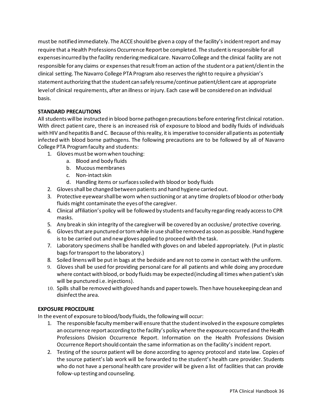must be notified immediately. The ACCE should be given a copy of the facility's incident report and may require that a Health Professions Occurrence Report be completed. The student is responsible for all expenses incurred by the facility rendering medical care. Navarro College and the clinical facility are not responsible for any claims or expenses that result from an action of the student or a patient/client in the clinical setting. The Navarro College PTA Program also reserves the right to require a physician's statement authorizing that the student can safely resume/continue patient/client care at appropriate level of clinical requirements, after an illness or injury. Each case will be considered on an individual basis.

#### <span id="page-35-0"></span>**STANDARD PRECAUTIONS**

All students will be instructed in blood borne pathogen precautions before entering first clinical rotation. With direct patient care, there is an increased risk of exposure to blood and bodily fluids of individuals with HIV and hepatitis B and C. Because of this reality, it is imperative to consider all patients as potentially infected with blood borne pathogens. The following precautions are to be followed by all of Navarro College PTA Program faculty and students:

- 1. Gloves must be worn when touching:
	- a. Blood and body fluids
	- b. Mucous membranes
	- c. Non-intact skin
	- d. Handling items or surfaces soiled with blood or body fluids
- 2. Gloves shall be changed between patients and hand hygiene carried out.
- 3. Protective eyewear shall be worn when suctioning or at any time droplets of blood or other body fluids might contaminate the eyes of the caregiver.
- 4. Clinical affiliation's policy will be followed by students and faculty regarding ready access to CPR masks.
- 5. Any break in skin integrity of the caregiver will be covered by an occlusive/ protective covering.
- 6. Gloves that are punctured or torn while in use shall be removed as soon as possible. Hand hygiene is to be carried out and new gloves applied to proceed with the task.
- 7. Laboratory specimens shall be handled with gloves on and labeled appropriately. (Put in plastic bags for transport to the laboratory.)
- 8. Soiled linens will be put in bags at the bedside and are not to come in contact with the uniform.
- 9. Gloves shall be used for providing personal care for all patients and while doing any procedure where contact with blood, or body fluids may be expected (including all times when patient's skin will be punctured i.e. injections).
- 10. Spills shall be removed with gloved hands and paper towels. Then have housekeeping clean and disinfect the area.

#### <span id="page-35-1"></span>**EXPOSURE PROCEDURE**

In the event of exposure to blood/body fluids, the following will occur:

- 1. The responsible faculty member will ensure that the student involved in the exposure completes an occurrence report according to the facility's policy where the exposure occurred and the Health Professions Division Occurrence Report. Information on the Health Professions Division Occurrence Report should contain the same information as on the facility's incident report.
- 2. Testing of the source patient will be done according to agency protocol and state law. Copies of the source patient's lab work will be forwarded to the student's health care provider. Students who do not have a personal health care provider will be given a list of facilities that can provide follow-up testing and counseling.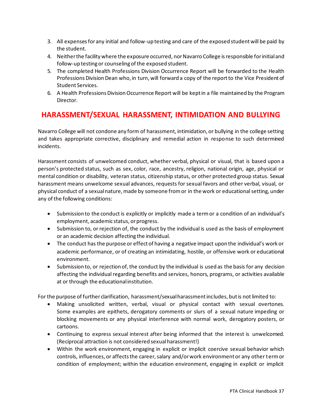- 3. All expenses for any initial and follow-up testing and care of the exposed student will be paid by the student.
- 4. Neither the facility where the exposure occurred, nor Navarro College is responsible for initial and follow-up testing or counseling of the exposed student.
- 5. The completed Health Professions Division Occurrence Report will be forwarded to the Health Professions Division Dean who, in turn, will forward a copy of the report to the Vice President of Student Services.
- 6. A Health Professions Division Occurrence Report will be kept in a file maintained by the Program Director.

# <span id="page-36-0"></span>**HARASSMENT/SEXUAL HARASSMENT, INTIMIDATION AND BULLYING**

Navarro College will not condone any form of harassment, intimidation, or bullying in the college setting and takes appropriate corrective, disciplinary and remedial action in response to such determined incidents.

Harassment consists of unwelcomed conduct, whether verbal, physical or visual, that is based upon a person's protected status, such as sex, color, race, ancestry, religion, national origin, age, physical or mental condition or disability, veteran status, citizenship status, or other protected group status. Sexual harassment means unwelcome sexual advances, requests for sexual favors and other verbal, visual, or physical conduct of a sexual nature, made by someone from or in the work or educational setting, under any of the following conditions:

- Submission to the conduct is explicitly or implicitly made a term or a condition of an individual's employment, academic status, or progress.
- Submission to, or rejection of, the conduct by the individual is used as the basis of employment or an academic decision affecting the individual.
- The conduct has the purpose or effect of having a negative impact upon the individual's work or academic performance, or of creating an intimidating, hostile, or offensive work or educational environment.
- Submission to, or rejection of, the conduct by the individual is used as the basis for any decision affecting the individual regarding benefits and services, honors, programs, or activities available at or through the educational institution.

For the purpose of further clarification, harassment/sexual harassment includes, but is not limited to:

- Making unsolicited written, verbal, visual or physical contact with sexual overtones. Some examples are epithets, derogatory comments or slurs of a sexual nature impeding or blocking movements or any physical interference with normal work, derogatory posters, or cartoons.
- Continuing to express sexual interest after being informed that the interest is unwelcomed. (Reciprocal attraction is not considered sexual harassment!)
- Within the work environment, engaging in explicit or implicit coercive sexual behavior which controls, influences, or affects the career, salary and/or work environment or any other term or condition of employment; within the education environment, engaging in explicit or implicit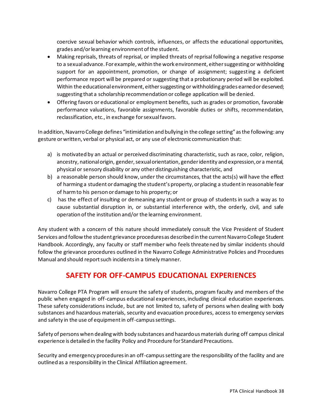coercive sexual behavior which controls, influences, or affects the educational opportunities, grades and/or learning environment of the student.

- Making reprisals, threats of reprisal, or implied threats of reprisal following a negative response to a sexual advance. For example, within the work environment, either suggesting or withholding support for an appointment, promotion, or change of assignment; suggesting a deficient performance report will be prepared or suggesting that a probationary period will be exploited. Within the educational environment, either suggesting or withholding grades earned or deserved; suggesting that a scholarship recommendation or college application will be denied.
- Offering favors or educational or employment benefits, such as grades or promotion, favorable performance valuations, favorable assignments, favorable duties or shifts, recommendation, reclassification, etc., in exchange for sexual favors.

In addition, Navarro College defines "intimidation and bullying in the college setting" as the following: any gesture or written, verbal or physical act, or any use of electronic communication that:

- a) is motivated by an actual or perceived discriminating characteristic, such as race, color, religion, ancestry, national origin, gender, sexual orientation, gender identity and expression, or a mental, physical or sensory disability or any other distinguishing characteristic, and
- b) a reasonable person should know, under the circumstances, that the acts(s) will have the effect of harming a student or damaging the student's property, or placing a student in reasonable fear of harm to his person or damage to his property; or
- c) has the effect of insulting or demeaning any student or group of students in such a way as to cause substantial disruption in, or substantial interference with, the orderly, civil, and safe operation of the institution and/or the learning environment.

Any student with a concern of this nature should immediately consult the Vice President of Student Services and follow the student grievance procedures as described in the current Navarro College Student Handbook. Accordingly, any faculty or staff member who feels threatened by similar incidents should follow the grievance procedures outlined in the Navarro College Administrative Policies and Procedures Manual and should report such incidents in a timely manner.

### **SAFETY FOR OFF-CAMPUS EDUCATIONAL EXPERIENCES**

<span id="page-37-0"></span>Navarro College PTA Program will ensure the safety of students, program faculty and members of the public when engaged in off-campus educational experiences, including clinical education experiences. These safety considerations include, but are not limited to, safety of persons when dealing with body substances and hazardous materials, security and evacuation procedures, access to emergency services and safety in the use of equipment in off-campus settings.

Safety of persons when dealing with body substances and hazardous materials during off campus clinical experience is detailed in the facility Policy and Procedure for Standard Precautions.

Security and emergency procedures in an off-campus setting are the responsibility of the facility and are outlined as a responsibility in the Clinical Affiliation agreement.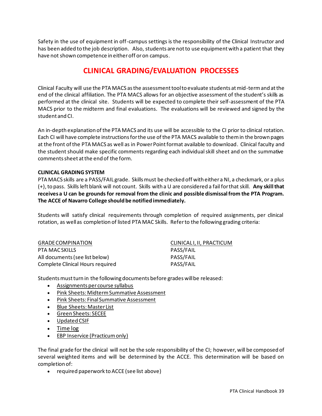<span id="page-38-0"></span>Safety in the use of equipment in off-campus settings is the responsibility of the Clinical Instructor and has been added to the job description. Also, students are not to use equipment with a patient that they have not shown competence in either off or on campus.

# **CLINICAL GRADING/EVALUATION PROCESSES**

Clinical Faculty will use the PTA MACS as the assessment tool to evaluate students at mid-term and at the end of the clinical affiliation. The PTA MACS allows for an objective assessment of the student's skills as performed at the clinical site. Students will be expected to complete their self-assessment of the PTA MACS prior to the midterm and final evaluations. The evaluations will be reviewed and signed by the student and CI.

An in-depth explanation of the PTA MACS and its use will be accessible to the CI prior to clinical rotation. Each CI will have complete instructions for the use of the PTA MACS available to them in the brown pages at the front of the PTA MACS as well as in Power Point format available to download. Clinical faculty and the student should make specific comments regarding each individual skill sheet and on the summative comments sheet at the end of the form.

#### <span id="page-38-1"></span>**CLINICAL GRADING SYSTEM**

PTA MACS skills are a PASS/FAIL grade. Skills must be checked off with either a NI, a checkmark, or a plus (+), to pass. Skills left blank will not count. Skills with a U are considered a fail for that skill. **Any skill that receives a U can be grounds for removal from the clinic and possible dismissal from the PTA Program. The ACCE of Navarro College should be notified immediately.**

Students will satisfy clinical requirements through completion of required assignments, per clinical rotation, as well as completion of listed PTA MAC Skills. Refer to the following grading criteria:

| CLINICALI, II, PRACTICUM |
|--------------------------|
| PASS/FAIL                |
| PASS/FAIL                |
| PASS/FAIL                |
|                          |

Students must turn in the following documents before grades will be released:

- Assignments per course syllabus
- Pink Sheets: Midterm Summative Assessment
- Pink Sheets: Final Summative Assessment
- Blue Sheets: Master List
- Green Sheets: SECEE
- Updated CSIF
- Time log
- EBP Inservice (Practicum only)

The final grade for the clinical will not be the sole responsibility of the CI; however, will be composed of several weighted items and will be determined by the ACCE. This determination will be based on completion of:

• required paperwork to ACCE (see list above)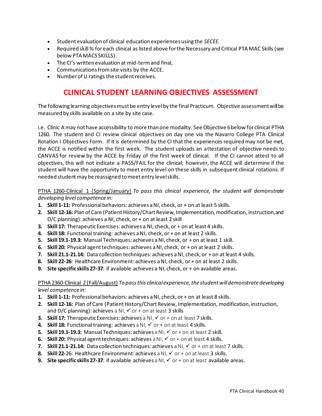- Student evaluation of clinical education experiences using the *SECEE.*
- Required skill % for each clinical as listed above for the Necessary and Critical PTA MAC Skills (see below PTA MACS SKILLS).
- The CI's written evaluation at mid-term and final,
- Communications from site visits by the ACCE.
- Number of U ratings the student receives.

### **CLINICAL STUDENT LEARNING OBJECTIVES ASSESSMENT**

<span id="page-39-0"></span>The following learning objectives must be entry level by the final Practicum. Objective assessment will be measured by skills available on a site by site case.

i.e. Clinic A may not have accessibility to more than one modality. See Objective 6 below for clinical PTHA 1260. The student and CI review clinical objectives on day one via the Navarro College PTA Clinical Rotation I Objectives Form. If it is determined by the CI that the experiences required may not be met, the ACCE is notified within the first week. The student uploads an attestation of objective needs to CANVAS for review by the ACCE by Friday of the first week of clinical. If the CI cannot attest to all objectives, this will not indicate a PASS/FAIL for the clinical; however, the ACCE will determine if the student will have the opportunity to meet entry level on these skills in subsequent clinical rotations. If needed student may be reassigned to meet entry level skills.

PTHA 1260-Clinical 1 (Spring/January) *To pass this clinical experience, the student will demonstrate developing level competence in:* 

- **1. Skill 1-11:** Professional behaviors: achieves a NI, check, or + on at least 5 skills.
- **2. Skill 12-16:** Plan of Care (Patient History/Chart Review, Implementation, modification, instruction, and D/C planning): achieves a NI, check, or + on at least 2 skill
- **3. Skill 17:** Therapeutic Exercises: achieves a NI, check, or + on at least 4 skills.
- **4. Skill 18:** Functional training: achieves a NI, check, or + on at least 2 skills.
- **5. Skill 19.1-19.3:** Manual Techniques: achieves a NI, check, or + on at least 1 skill.
- **6. Skill 20:** Physical agent techniques: achieves a NI, check, or + on at least 2 skills.
- **7. Skill 21.1-21.14:** Data collection techniques: achieves a NI, check, or + on at least 4 skills.
- **8. Skill 22-26**: Healthcare Environment: achieves a NI, check, or + on at least 2 skills.
- **9. Site specific skills 27-37**: if available achieves a NI, check, or + on available areas.

#### PTHA 2360-Clinical 2 (Fall/August) *To pass this clinical experience, the student will demonstrate developing level competence in:*

- **1. Skill 1-11:** Professional behaviors: achieves a NI, check, or + on at least 8 skills.
- **2. Skill 12-16:** Plan of Care (Patient History/Chart Review, Implementation, modification, instruction, and D/C planning): achieves a NI,  $\checkmark$  or + on at least 3 skills
- **3. Skill 17:** Therapeutic Exercises: achieves a NI,  $\checkmark$  or + on at least 7 skills.
- **4. Skill 18:** Functional training: achieves a NI,  $\checkmark$  or + on at least 4 skills.
- **5. Skill 19.1-19.3:** Manual Techniques: achieves a NI, ✓ or + on at least 2 skill.
- **6. Skill 20:** Physical agent techniques: achieves a NI,  $\checkmark$  or + on at least 4 skills.
- **7. Skill 21.1-21.14:** Data collection techniques: achieves a NI, ✓ or + on at least 7 skills.
- **8. Skill 22-26: Healthcare Environment: achieves a NI, ✓ or + on at least 3 skills.**
- **9.** Site specific skills 27-37: if available achieves a NI, ✓ or + on at least available areas.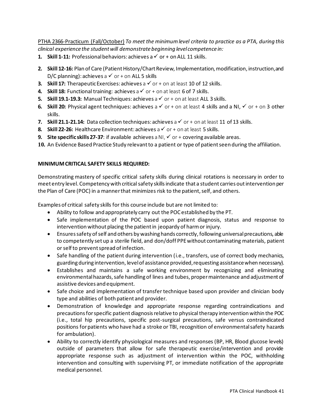PTHA 2366-Practicum (Fall/October) *To meet the minimum level criteria to practice as a PTA, during this clinical experience the student will demonstrate beginning level competence in:* 

- **1. Skill 1-11:** Professional behaviors: achieves a  $\checkmark$  or + on ALL 11 skills.
- **2. Skill 12-16:** Plan of Care (Patient History/Chart Review, Implementation, modification, instruction, and D/C planning): achieves a  $\checkmark$  or + on ALL 5 skills
- **3. Skill 17:** Therapeutic Exercises: achieves a  $\checkmark$  or + on at least 10 of 12 skills.
- **4. Skill 18:** Functional training: achieves a  $\checkmark$  or + on at least 6 of 7 skills.
- **5. Skill 19.1-19.3:** Manual Techniques: achieves a  $\checkmark$  or  $+$  on at least ALL 3 skills.
- **6. Skill 20:** Physical agent techniques: achieves a ✓ or + on at least 4 skills and a NI, ✓ or + on 3 other skills.
- **7. Skill 21.1-21.14:** Data collection techniques: achieves a ✓ or + on at least 11 of 13 skills.
- **8. Skill 22-26:** Healthcare Environment: achieves a ✓ or + on at least 5 skills.
- **9.** Site specific skills 27-37: if available achieves a NI, ✓ or + covering available areas.
- **10.** An Evidence Based Practice Study relevant to a patient or type of patient seen during the affiliation.

#### <span id="page-40-0"></span>**MINIMUM CRITICAL SAFETY SKILLS REQUIRED:**

Demonstrating mastery of specific critical safety skills during clinical rotations is necessary in order to meet entry level. Competency with critical safety skills indicate that a student carries out intervention per the Plan of Care (POC) in a manner that minimizes risk to the patient, self, and others.

Examples of critical safety skills for this course include but are not limited to:

- Ability to follow and appropriately carry out the POC established by the PT.
- Safe implementation of the POC based upon patient diagnosis, status and response to intervention without placing the patient in jeopardy of harm or injury.
- Ensures safety of self and others by washing hands correctly, following universal precautions, able to competently set up a sterile field, and don/doff PPE without contaminating materials, patient or self to prevent spread of infection.
- Safe handling of the patient during intervention (i.e., transfers, use of correct body mechanics, guarding during intervention, level of assistance provided, requesting assistance when necessary).
- Establishes and maintains a safe working environment by recognizing and eliminating environmental hazards, safe handling of lines and tubes, proper maintenance and adjustment of assistive devices and equipment.
- Safe choice and implementation of transfer technique based upon provider and clinician body type and abilities of both patient and provider.
- Demonstration of knowledge and appropriate response regarding contraindications and precautions for specific patient diagnosis relative to physical therapy intervention within the POC (i.e., total hip precautions, specific post-surgical precautions, safe versus contraindicated positions for patients who have had a stroke or TBI, recognition of environmental safety hazards for ambulation).
- Ability to correctly identify physiological measures and responses (BP, HR, Blood glucose levels) outside of parameters that allow for safe therapeutic exercise/intervention and provide appropriate response such as adjustment of intervention within the POC, withholding intervention and consulting with supervising PT, or immediate notification of the appropriate medical personnel.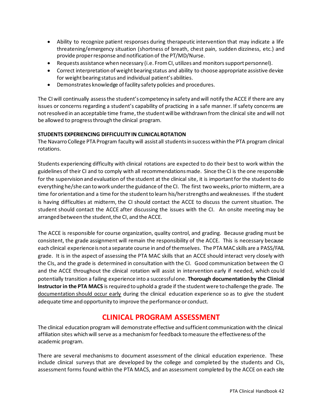- Ability to recognize patient responses during therapeutic intervention that may indicate a life threatening/emergency situation (shortness of breath, chest pain, sudden dizziness, etc.) and provide proper response and notification of the PT/MD/Nurse.
- Requests assistance when necessary (i.e. From CI, utilizes and monitors support personnel).
- Correct interpretation of weight bearing status and ability to choose appropriate assistive device for weight bearing status and individual patient's abilities.
- Demonstrates knowledge of facility safety policies and procedures.

The CI will continually assess the student's competency in safety and will notify the ACCE if there are any issues or concerns regarding a student's capability of practicing in a safe manner. If safety concerns are not resolved in an acceptable time frame, the student will be withdrawn from the clinical site and will not be allowed to progress through the clinical program.

#### <span id="page-41-0"></span>**STUDENTS EXPERIENCING DIFFICULITY IN CLINICAL ROTATION**

The Navarro College PTA Program faculty will assist all students in success within the PTA program clinical rotations.

Students experiencing difficulty with clinical rotations are expected to do their best to work within the guidelines of their CI and to comply with all recommendations made. Since the CI is the one responsible for the supervision and evaluation of the student at the clinical site, it is important for the student to do everything he/she can to work under the guidance of the CI. The first twoweeks, prior to midterm, are a time for orientation and a time for the student to learn his/her strengths and weaknesses. If the student is having difficulties at midterm, the CI should contact the ACCE to discuss the current situation. The student should contact the ACCE after discussing the issues with the CI. An onsite meeting may be arranged between the student, the CI, and the ACCE.

The ACCE is responsible for course organization, quality control, and grading. Because grading must be consistent, the grade assignment will remain the responsibility of the ACCE. This is necessary because each clinical experience is not a separate course in and of themselves. The PTA MAC skills are a PASS/FAIL grade. It is in the aspect of assessing the PTA MAC skills that an ACCE should interact very closely with the CIs, and the grade is determined in consultation with the CI. Good communication between the CI and the ACCE throughout the clinical rotation will assist in intervention early if needed, which could potentially transition a failing experience into a successful one. **Thorough documentation by the Clinical Instructor in the PTA MACS** is required to uphold a grade if the student were to challenge the grade. The documentation should occur early during the clinical education experience so as to give the student adequate time and opportunity to improve the performance or conduct.

# **CLINICAL PROGRAM ASSESSMENT**

<span id="page-41-1"></span>The clinical education program will demonstrate effective and sufficient communication with the clinical affiliation sites which will serve as a mechanism for feedback to measure the effectiveness of the academic program.

There are several mechanisms to document assessment of the clinical education experience. These include clinical surveys that are developed by the college and completed by the students and CIs, assessment forms found within the PTA MACS, and an assessment completed by the ACCE on each site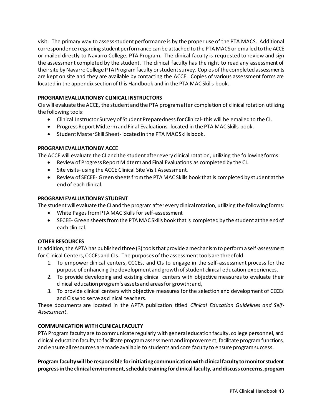visit. The primary way to assess student performance is by the proper use of the PTA MACS. Additional correspondence regarding student performance can be attached to the PTA MACS or emailed to the ACCE or mailed directly to Navarro College, PTA Program. The clinical faculty is requested to review and sign the assessment completed by the student. The clinical faculty has the right to read any assessment of their site by Navarro College PTA Program faculty or student survey. Copies of the completed assessments are kept on site and they are available by contacting the ACCE. Copies of various assessment forms are located in the appendix section of this Handbook and in the PTA MAC Skills book.

#### <span id="page-42-0"></span>**PROGRAM EVALUATION BY CLINICAL INSTRUCTORS**

CIs will evaluate the ACCE, the student and the PTA program after completion of clinical rotation utilizing the following tools:

- Clinical Instructor Survey of Student Preparedness for Clinical-this will be emailed to the CI.
- Progress Report Midterm and Final Evaluations- located in the PTA MAC Skills book.
- Student Master Skill Sheet- located in the PTA MAC Skills book.

#### <span id="page-42-1"></span>**PROGRAM EVALUATION BY ACCE**

The ACCE will evaluate the CI and the student after every clinical rotation, utilizing the following forms:

- Review of Progress Report Midterm and Final Evaluations as completed by the CI.
- Site visits- using the ACCE Clinical Site Visit Assessment.
- Review of SECEE- Green sheets from the PTA MAC Skills book that is completed by student at the end of each clinical.

#### <span id="page-42-2"></span>**PROGRAM EVALUATION BY STUDENT**

The student will evaluate the CI and the program after every clinical rotation, utilizing the following forms:

- White Pages from PTA MAC Skills for self-assessment
- SECEE- Green sheets from the PTA MAC Skills book that is completed by the student at the end of each clinical.

#### <span id="page-42-3"></span>**OTHER RESOURCES**

In addition, the APTA has published three (3) tools that provide a mechanism to perform a self-assessment for Clinical Centers, CCCEs and CIs. The purposes of the assessment tools are threefold:

- 1. To empower clinical centers, CCCEs, and CIs to engage in the self-assessment process for the purpose of enhancing the development and growth of student clinical education experiences.
- 2. To provide developing and existing clinical centers with objective measures to evaluate their clinical education program's assets and areas for growth; and,
- 3. To provide clinical centers with objective measures for the selection and development of CCCEs and CIs who serve as clinical teachers.

These documents are located in the APTA publication titled *Clinical Education Guidelines and Self-Assessment*.

#### <span id="page-42-4"></span>**COMMUNICATION WITH CLINICAL FACULTY**

PTA Program faculty are to communicate regularly with general education faculty, college personnel, and clinical education faculty to facilitate program assessment and improvement, facilitate program functions, and ensure all resources are made available to students and core faculty to ensure program success.

**Program faculty will be responsible for initiating communication with clinical faculty to monitor student progress in the clinical environment, schedule training for clinical faculty, and discuss concerns, program**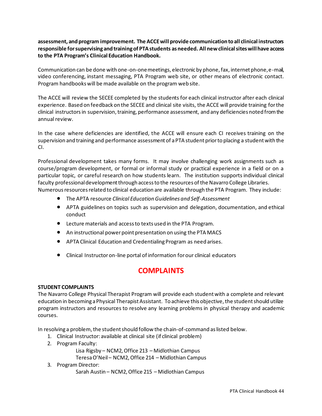**assessment, and program improvement. The ACCE will provide communication to all clinical instructors responsible for supervising and training of PTA students as needed. All new clinical sites will have access to the PTA Program's Clinical Education Handbook.**

Communication can be done with one-on-one meetings, electronic by phone, fax, internet phone, e-mail, video conferencing, instant messaging, PTA Program web site, or other means of electronic contact. Program handbooks will be made available on the program web site.

The ACCE will review the SECEE completed by the students for each clinical instructor after each clinical experience. Based on feedback on the SECEE and clinical site visits, the ACCE will provide training for the clinical instructors in supervision, training, performance assessment, and any deficiencies noted from the annual review.

In the case where deficiencies are identified, the ACCE will ensure each CI receives training on the supervision and training and performance assessment of a PTA student prior to placing a student with the CI.

Professional development takes many forms. It may involve challenging work assignments such as course/program development, or formal or informal study or practical experience in a field or on a particular topic, or careful research on how students learn. The institution supports individual clinical faculty professional development through access to the resources of the Navarro College Libraries. Numerous resources related to clinical education are available through the PTA Program. They include:

- The APTA resource *Clinical Education Guidelines and Self-Assessment*
- APTA guidelines on topics such as supervision and delegation, documentation, and ethical conduct
- Lecture materials and access to texts used in the PTA Program.
- An instructional power point presentation on using the PTA MACS
- APTA Clinical Education and Credentialing Program as need arises.
- Clinical Instructor on-line portal of information for our clinical educators

### **COMPLAINTS**

#### <span id="page-43-1"></span><span id="page-43-0"></span>**STUDENT COMPLAINTS**

The Navarro College Physical Therapist Program will provide each student with a complete and relevant education in becoming a Physical Therapist Assistant. To achieve this objective, the student should utilize program instructors and resources to resolve any learning problems in physical therapy and academic courses.

In resolving a problem, the student should follow the chain-of-command as listed below.

- 1. Clinical Instructor: available at clinical site (if clinical problem)
- 2. Program Faculty:

Lisa Rigsby – NCM2, Office 213 – Midlothian Campus

Teresa O'Neil– NCM2, Office 214 – Midlothian Campus

#### 3. Program Director:

Sarah Austin – NCM2, Office 215 – Midlothian Campus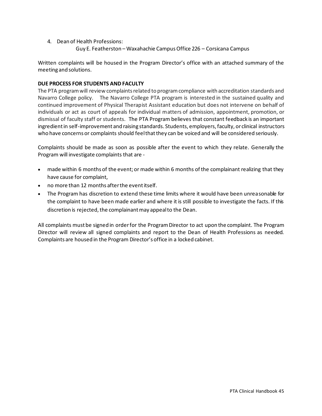- 4. Dean of Health Professions:
	- Guy E. Featherston Waxahachie CampusOffice 226 Corsicana Campus

Written complaints will be housed in the Program Director's office with an attached summary of the meeting and solutions.

#### <span id="page-44-0"></span>**DUE PROCESS FOR STUDENTS AND FACULTY**

The PTA program will review complaints related to program compliance with accreditation standards and Navarro College policy. The Navarro College PTA program is interested in the sustained quality and continued improvement of Physical Therapist Assistant education but does not intervene on behalf of individuals or act as court of appeals for individual matters of admission, appointment, promotion, or dismissal of faculty staff or students. The PTA Program believes that constant feedback is an important ingredient in self-improvement and raising standards. Students, employers, faculty, or clinical instructors who have concerns or complaints should feel that they can be voiced and will be considered seriously.

Complaints should be made as soon as possible after the event to which they relate. Generally the Program will investigate complaints that are -

- made within 6 months of the event; or made within 6 months of the complainant realizing that they have cause for complaint,
- no more than 12 months after the event itself.
- The Program has discretion to extend these time limits where it would have been unreasonable for the complaint to have been made earlier and where it is still possible to investigate the facts. If this discretion is rejected, the complainant may appeal to the Dean.

All complaints must be signed in order for the Program Director to act upon the complaint. The Program Director will review all signed complaints and report to the Dean of Health Professions as needed. Complaints are housed in the Program Director's office in a locked cabinet.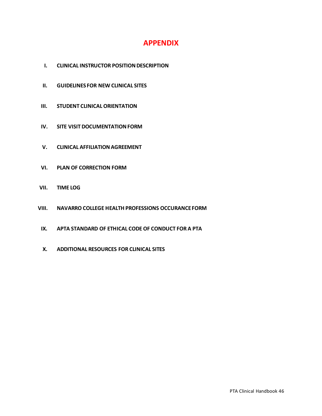### **APPENDIX**

- <span id="page-45-0"></span>**I. CLINICAL INSTRUCTOR POSITION DESCRIPTION**
- **II. GUIDELINES FOR NEW CLINICAL SITES**
- **III. STUDENT CLINICAL ORIENTATION**
- **IV. SITE VISIT DOCUMENTATION FORM**
- **V. CLINICAL AFFILIATION AGREEMENT**
- **VI. PLAN OF CORRECTION FORM**
- **VII. TIME LOG**
- **VIII. NAVARRO COLLEGE HEALTH PROFESSIONS OCCURANCE FORM**
	- **IX. APTA STANDARD OF ETHICAL CODE OF CONDUCT FOR A PTA**
	- **X. ADDITIONAL RESOURCES FOR CLINICAL SITES**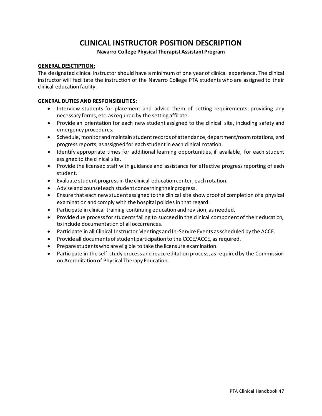# **CLINICAL INSTRUCTOR POSITION DESCRIPTION**

#### **Navarro College Physical Therapist Assistant Program**

#### <span id="page-46-0"></span>**GENERAL DESCTIPTION:**

The designated clinical instructor should have a minimum of one year of clinical experience. The clinical instructor will facilitate the instruction of the Navarro College PTA students who are assigned to their clinical education facility.

#### **GENERAL DUTIES AND RESPONSIBILITIES:**

- Interview students for placement and advise them of setting requirements, providing any necessary forms, etc. as required by the setting affiliate.
- Provide an orientation for each new student assigned to the clinical site, including safety and emergency procedures.
- Schedule, monitor and maintain student records of attendance, department/room rotations, and progress reports, as assigned for each student in each clinical rotation.
- Identify appropriate times for additional learning opportunities, if available, for each student assigned to the clinical site.
- Provide the licensed staff with guidance and assistance for effective progress reporting of each student.
- Evaluate student progress in the clinical education center, each rotation.
- Advise and counsel each student concerning their progress.
- Ensure that each new student assigned to the clinical site show proof of completion of a physical examination and comply with the hospital policies in that regard.
- Participate in clinical training continuing education and revision, as needed.
- Provide due process for students failing to succeed in the clinical component of their education, to include documentation of all occurrences.
- Participate in all Clinical Instructor Meetings and In-Service Events as scheduled by the ACCE.
- Provide all documents of student participation to the CCCE/ACCE, as required.
- Prepare students who are eligible to take the licensure examination.
- Participate in the self-study process and reaccreditation process, as required by the Commission on Accreditation of Physical Therapy Education.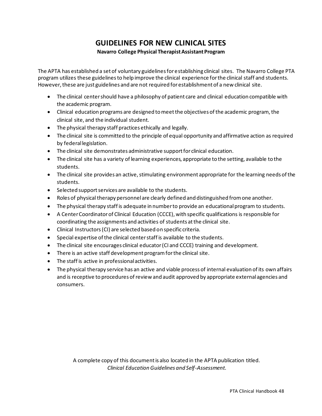# **GUIDELINES FOR NEW CLINICAL SITES**

#### **Navarro College Physical Therapist Assistant Program**

<span id="page-47-0"></span>The APTA has established a set of voluntary guidelines for establishing clinical sites. The Navarro College PTA program utilizes these guidelines to help improve the clinical experience for the clinical staff and students. However, these are just guidelines and are not required for establishment of a new clinical site.

- The clinical center should have a philosophy of patient care and clinical education compatible with the academic program.
- Clinical education programs are designed to meet the objectives of the academic program, the clinical site, and the individual student.
- The physical therapy staff practices ethically and legally.
- The clinical site is committed to the principle of equal opportunity and affirmative action as required by federal legislation.
- The clinical site demonstrates administrative support for clinical education.
- The clinical site has a variety of learning experiences, appropriate to the setting, available to the students.
- The clinical site provides an active, stimulating environment appropriate for the learning needs of the students.
- Selected support services are available to the students.
- Roles of physical therapy personnel are clearly defined and distinguished from one another.
- The physical therapy staff is adequate in number to provide an educational program to students.
- A Center Coordinator of Clinical Education (CCCE), with specific qualifications is responsible for coordinating the assignments and activities of students at the clinical site.
- Clinical Instructors (CI) are selected based on specific criteria.
- Special expertise of the clinical center staff is available to the students.
- The clinical site encourages clinical educator (CI and CCCE) training and development.
- There is an active staff development program for the clinical site.
- The staff is active in professional activities.
- The physical therapy service has an active and viable process of internal evaluation of its own affairs and is receptive to procedures of review and audit approved by appropriate external agencies and consumers.

A complete copy of this document is also located in the APTA publication titled. *Clinical Education Guidelines and Self-Assessment.*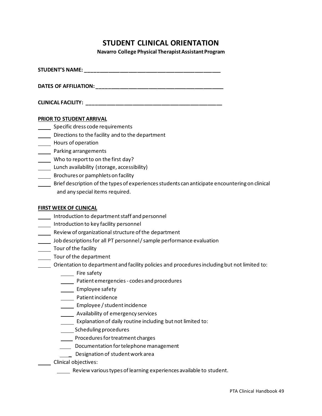### **STUDENT CLINICAL ORIENTATION**

**Navarro College Physical Therapist Assistant Program**

<span id="page-48-0"></span>**STUDENT'S NAME: \_\_\_\_\_\_\_\_\_\_\_\_\_\_\_\_\_\_\_\_\_\_\_\_\_\_\_\_\_\_\_\_\_\_\_\_\_\_\_\_\_\_\_\_\_\_\_** 

**DATES OF AFFILIATION: \_\_\_\_\_\_\_\_\_\_\_\_\_\_\_\_\_\_\_\_\_\_\_\_\_\_\_\_\_\_\_\_\_\_\_\_\_\_\_\_\_\_\_\_** 

| <b>CLINICAL FACILITY:</b> |  |
|---------------------------|--|
|                           |  |

#### **PRIOR TO STUDENT ARRIVAL**

- Specific dress code requirements
- Directions to the facility and to the department
- Hours of operation
- Parking arrangements
- Who to report to on the first day?
- Lunch availability (storage, accessibility)
- Brochures or pamphlets on facility
- Brief description of the types of experiences students can anticipate encountering on clinical and any special items required.

#### **FIRST WEEK OF CLINICAL**

- Introduction to department staff and personnel
- **Introduction to key facility personnel**
- **Neview of organizational structure of the department**
- Job descriptions for all PT personnel / sample performance evaluation
- Tour of the facility
- **Tour of the department**
- Orientation to department and facility policies and procedures including but not limited to:
	- **Fire safety**
	- Patient emergencies codes and procedures
	- **Employee safety**
	- Patient incidence
	- **Employee / student incidence**
	- **Wailability of emergency services**
	- **Explanation of daily routine including but not limited to:**
	- Scheduling procedures
	- Procedures for treatment charges
	- Documentation for telephone management
	- **Designation of student work area**
	- Clinical objectives:
		- Review various types of learning experiences available to student.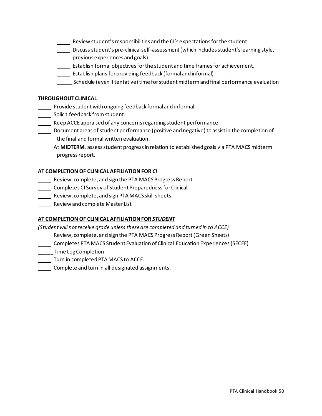- Review student's responsibilities and the CI's expectations for the student
- Discuss student's pre-clinical self-assessment (which includes student's learning style, previous experiences and goals)
- Establish formal objectives for the student and time frames for achievement.
- Establish plans for providing feedback (formal and informal)
- \_\_\_\_\_ Schedule (even if tentative) time for student midterm and final performance evaluation

#### **THROUGHOUT CLINICAL**

- Provide student with ongoing feedback formal and informal.
- Solicit feedback from student.
- Keep ACCE appraised of any concerns regarding student performance.
- Document areas of student performance (positive and negative) to assist in the completion of the final and formal written evaluation.
- At **MIDTERM**, assess student progress in relation to established goals via PTA MACS midterm progress report.

#### **AT COMPLETION OF CLINICAL AFFILIATIONFOR** *CI*

- Review, complete, and sign the PTA MACS Progress Report
- Completes CI Survey of Student Preparedness for Clinical
- Review, complete, and sign PTA MACS skill sheets
- Review and complete Master List

#### **AT COMPLETION OF CLINICAL AFFILIATION FOR** *STUDENT*

*(Student will not receive grade unless these are completed and turned in to ACCE)*

- **Neview, complete, and sign the PTA MACS Progress Report (Green Sheets)**
- Completes PTA MACS Student Evaluation of Clinical Education Experiences (SECEE)
- \_\_\_\_\_ Time Log Completion
- Turn in completed PTA MACS to ACCE.
- **Complete and turn in all designated assignments.**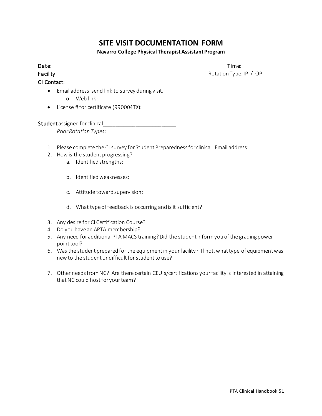# **SITE VISIT DOCUMENTATION FORM**

#### **Navarro College Physical Therapist Assistant Program**

<span id="page-50-0"></span>

Facility: Rotation Type: IP / OP

CI Contact:

Date: Time: The Contract of the Contract of the Contract of the Contract of the Contract of the Contract of the Contract of the Contract of the Contract of the Contract of the Contract of the Contract of the Contract of th

• Email address: send link to survey during visit.

- o Web link:
- License # for certificate (990004TX):

Student assigned for clinical\_\_\_\_\_\_\_\_\_\_\_\_\_\_\_\_\_\_\_\_\_\_\_\_\_

*Prior Rotation Types*: \_\_\_\_\_\_\_\_\_\_\_\_\_\_\_\_\_\_\_\_\_\_\_\_\_\_\_\_\_\_

- 1. Please complete the CI survey for Student Preparedness for clinical. Email address:
- 2. How is the student progressing?
	- a. Identified strengths:
	- b. Identified weaknesses:
	- c. Attitude toward supervision:
	- d. What type of feedback is occurring and is it sufficient?
- 3. Any desire for CI Certification Course?
- 4. Do you have an APTA membership?
- 5. Any need for additional PTA MACS training? Did the student inform you of the grading power point tool?
- 6. Was the student prepared for the equipment in your facility? If not, what type of equipment was new to the student or difficult for student to use?
- 7. Other needs from NC? Are there certain CEU's/certifications your facility is interested in attaining that NC could host for your team?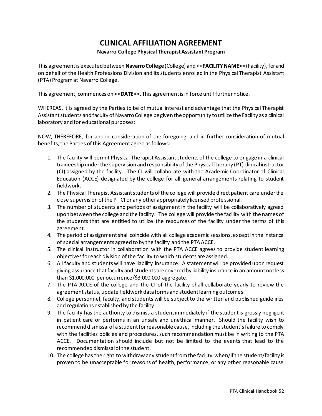### **CLINICAL AFFILIATION AGREEMENT**

#### **Navarro College Physical Therapist Assistant Program**

<span id="page-51-0"></span>This agreement is executed between **Navarro College**(College) and <<**FACILITY NAME>>**(Facility), for and on behalf of the Health Professions Division and its students enrolled in the Physical Therapist Assistant (PTA) Program at Navarro College.

This agreement, commences on **<<DATE>>.** This agreement is in force until further notice.

WHEREAS, it is agreed by the Parties to be of mutual interest and advantage that the Physical Therapist Assistant students and faculty of Navarro College be given the opportunity to utilize the Facility as a clinical laboratory and for educational purposes:

NOW, THEREFORE, for and in consideration of the foregoing, and in further consideration of mutual benefits, the Parties of this Agreement agree as follows:

- 1. The facility will permit Physical Therapist Assistant students of the college to engage in a clinical traineeship under the supervision and responsibility of the Physical Therapy (PT) clinical instructor (CI) assigned by the facility. The CI will collaborate with the Academic Coordinator of Clinical Education (ACCE) designated by the college for all general arrangements relating to student fieldwork.
- 2. The Physical Therapist Assistant students of the college will provide direct patient care under the close supervision of the PT CI or any other appropriately licensed professional.
- 3. The number of students and periods of assignment in the facility will be collaboratively agreed upon between the college and the facility. The college will provide the facility with the names of the students that are entitled to utilize the resources of the facility under the terms of this agreement.
- 4. The period of assignment shall coincide with all college academic sessions, except in the instance of special arrangements agreed to by the facility and the PTA ACCE.
- 5. The clinical instructor in collaboration with the PTA ACCE agrees to provide student learning objectives for each division of the facility to which students are assigned.
- 6. All faculty and students will have liability insurance. A statement will be provided upon request giving assurance that faculty and students are covered by liability insurance in an amount not less than \$1,000,000 per occurrence/\$3,000,000 aggregate.
- 7. The PTA ACCE of the college and the CI of the facility shall collaborate yearly to review the agreement status, update fieldwork data forms and student learning outcomes.
- 8. College personnel, faculty, and students will be subject to the written and published guidelines and regulations established by the facility.
- 9. The facility has the authority to dismiss a student immediately if the student is grossly negligent in patient care or performs in an unsafe and unethical manner. Should the facility wish to recommend dismissal of a student for reasonable cause, including the student's failure to comply with the facilities policies and procedures, such recommendation must be in writing to the PTA ACCE. Documentation should include but not be limited to the events that lead to the recommended dismissal of the student.
- 10. The college has the right to withdraw any student from the facility when/if the student/facility is proven to be unacceptable for reasons of health, performance, or any other reasonable cause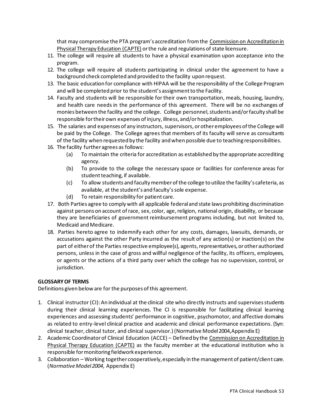that may compromise the PTA program's accreditation from the Commission on Accreditation in Physical Therapy Education (CAPTE) or the rule and regulations of state licensure.

- 11. The college will require all students to have a physical examination upon acceptance into the program.
- 12. The college will require all students participating in clinical under the agreement to have a background check completed and provided to the facility upon request.
- 13. The basic education for compliance with HIPAA will be the responsibility of the College Program and will be completed prior to the student's assignment to the Facility.
- 14. Faculty and students will be responsible for their own transportation, meals, housing, laundry, and health care needs in the performance of this agreement. There will be no exchanges of monies between the facility and the college. College personnel, students and/or faculty shall be responsible for their own expenses of injury, illness, and/or hospitalization.
- 15. The salaries and expenses of any instructors, supervisors, or other employees of the College will be paid by the College. The College agrees that members of its faculty will serve as consultants of the facility when requested by the facility and when possible due to teaching responsibilities.
- 16. The facility further agrees as follows:
	- (a) To maintain the criteria for accreditation as established by the appropriate accrediting agency.
	- (b) To provide to the college the necessary space or facilities for conference areas for student teaching, if available.
	- (c) To allow students and faculty member of the college to utilize the facility's cafeteria, as available, at the student's and faculty's sole expense.
	- (d) To retain responsibility for patient care.
- 17. Both Parties agree to comply with all applicable federal and state laws prohibiting discrimination against persons on account of race, sex, color, age, religion, national origin, disability, or because they are beneficiaries of government reimbursement programs including, but not limited to, Medicaid and Medicare.
- 18. Parties hereto agree to indemnify each other for any costs, damages, lawsuits, demands, or accusations against the other Party incurred as the result of any action(s) or inaction(s) on the part of either of the Parties respective employee(s), agents, representatives, or other authorized persons, unless in the case of gross and willful negligence of the facility, its officers, employees, or agents or the actions of a third party over which the college has no supervision, control, or jurisdiction.

#### **GLOSSARY OF TERMS**

Definitions given below are for the purposes of this agreement.

- 1. Clinical instructor (CI): An individual at the clinical site who directly instructs and supervises students during their clinical learning experiences. The CI is responsible for facilitating clinical learning experiences and assessing students' performance in cognitive, psychomotor, and affective domains as related to entry-level clinical practice and academic and clinical performance expectations. (Syn: clinical teacher, clinical tutor, and clinical supervisor.) (Normative Model 2004,Appendix E)
- 2. Academic Coordinator of Clinical Education (ACCE) Defined by the Commission on Accreditation in Physical Therapy Education (CAPTE) as the faculty member at the educational institution who is responsible for monitoring fieldwork experience.
- 3. Collaboration Working together cooperatively, especially in the management of patient/client care. (*Normative Model 2004*, Appendix E)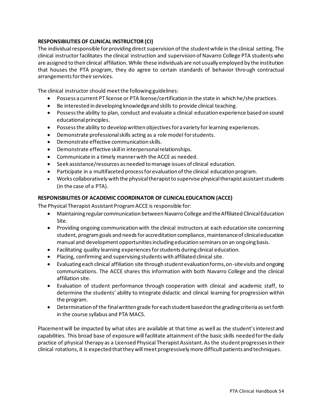#### **RESPONSIBILITIES OF CLINICAL INSTRUCTOR (CI)**

The individual responsible for providing direct supervision of the student while in the clinical setting. The clinical instructor facilitates the clinical instruction and supervision of Navarro College PTA students who are assigned to their clinical affiliation. While these individuals are not usually employed by the institution that houses the PTA program, they do agree to certain standards of behavior through contractual arrangements for their services.

The clinical instructor should meet the following guidelines:

- Possess a current PT license or PTA license/certification in the state in which he/she practices.
- Be interested in developing knowledge and skills to provide clinical teaching.
- Possess the ability to plan, conduct and evaluate a clinical education experience based on sound educational principles.
- Possess the ability to develop written objectives for a variety for learning experiences.
- Demonstrate professional skills acting as a role model for students.
- Demonstrate effective communication skills.
- Demonstrate effective skill in interpersonal relationships.
- Communicate in a timely manner with the ACCE as needed.
- Seek assistance/resources as needed to manage issues of clinical education.
- Participate in a multifaceted process for evaluation of the clinical education program.
- Works collaboratively with the physical therapist to supervise physical therapist assistant students (in the case of a PTA).

#### **RESPONISBILITIES OF ACADEMIC COORDINATOR OF CLINICAL EDUCATION (ACCE)**

The Physical Therapist Assistant Program ACCE is responsible for:

- Maintaining regular communication between Navarro College and the Affiliated Clinical Education Site.
- Providing ongoing communication with the clinical instructors at each education site concerning student, program goals and needs for accreditation compliance, maintenance of clinical education manual and development opportunities including education seminars on an ongoing basis.
- Facilitating quality learning experiences for students during clinical education.
- Placing, confirming and supervising students with affiliated clinical site.
- Evaluating each clinical affiliation site through student evaluation forms, on-site visits and ongoing communications. The ACCE shares this information with both Navarro College and the clinical affiliation site.
- Evaluation of student performance through cooperation with clinical and academic staff, to determine the students' ability to integrate didactic and clinical learning for progression within the program.
- Determination of the final written grade for each student based on the grading criteria as set forth in the course syllabus and PTA MACS.

Placement will be impacted by what sites are available at that time as well as the student's interest and capabilities. This broad base of exposure will facilitate attainment of the basic skills needed for the daily practice of physical therapy as a Licensed Physical Therapist Assistant. As the student progresses in their clinical rotations, it is expected that they will meet progressively more difficult patients and techniques.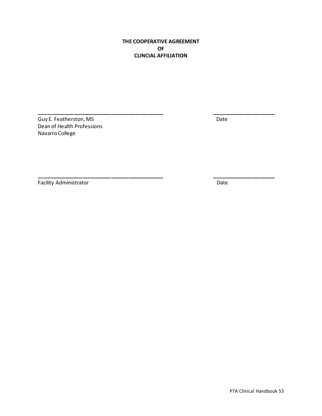#### **THE COOPERATIVE AGREEMENT OF CLINCIAL AFFILIATION**

**\_\_\_\_\_\_\_\_\_\_\_\_\_\_\_\_\_\_\_\_\_\_\_\_\_\_\_\_\_\_\_\_\_\_\_\_\_\_\_\_\_\_\_ \_\_\_\_\_\_\_\_\_\_\_\_\_\_\_\_\_\_\_\_\_**

**\_\_\_\_\_\_\_\_\_\_\_\_\_\_\_\_\_\_\_\_\_\_\_\_\_\_\_\_\_\_\_\_\_\_\_\_\_\_\_\_\_\_\_ \_\_\_\_\_\_\_\_\_\_\_\_\_\_\_\_\_\_\_\_\_**

Guy E. Featherston, MS Date Dean of Health Professions Navarro College

Facility Administrator Date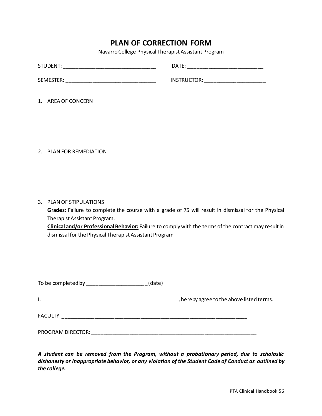### **PLAN OF CORRECTION FORM**

Navarro College Physical Therapist Assistant Program

<span id="page-55-0"></span>

| STUDENT:  | DATE:       |
|-----------|-------------|
| SEMESTER: | INSTRUCTOR: |

1. AREA OF CONCERN

2. PLAN FOR REMEDIATION

3. PLAN OF STIPULATIONS

**Grades:** Failure to complete the course with a grade of 75 will result in dismissal for the Physical Therapist Assistant Program.

**Clinical and/or Professional Behavior:** Failure to comply with the terms of the contract may result in dismissal for the Physical Therapist Assistant Program

|                                                            | (date) |                                           |
|------------------------------------------------------------|--------|-------------------------------------------|
| <u> 1980 - Johann John Stoff, fransk politik (d. 1980)</u> |        | , hereby agree to the above listed terms. |
| FACULTY:                                                   |        |                                           |
| PROGRAM DIRECTOR:                                          |        |                                           |

*A student can be removed from the Program, without a probationary period, due to scholastic dishonesty or inappropriate behavior, or any violation of the Student Code of Conduct as outlined by the college.*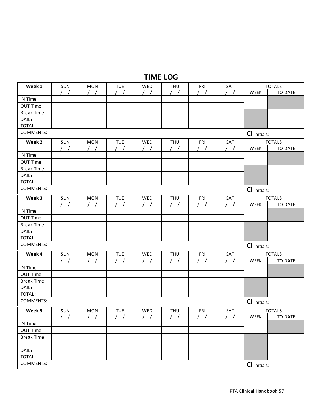# **TIME LOG**

<span id="page-56-0"></span>

| Week 1                           | SUN              | <b>MON</b>       | <b>TUE</b>                                    | WED                                           | <b>THU</b>                                    | FRI              | SAT               |                     | <b>TOTALS</b>  |
|----------------------------------|------------------|------------------|-----------------------------------------------|-----------------------------------------------|-----------------------------------------------|------------------|-------------------|---------------------|----------------|
|                                  |                  |                  |                                               |                                               |                                               |                  |                   | WEEK                | TO DATE        |
| IN Time                          |                  |                  |                                               |                                               |                                               |                  |                   |                     |                |
| OUT Time                         |                  |                  |                                               |                                               |                                               |                  |                   |                     |                |
| <b>Break Time</b>                |                  |                  |                                               |                                               |                                               |                  |                   |                     |                |
| <b>DAILY</b>                     |                  |                  |                                               |                                               |                                               |                  |                   |                     |                |
| TOTAL:                           |                  |                  |                                               |                                               |                                               |                  |                   |                     |                |
| <b>COMMENTS:</b>                 |                  |                  |                                               |                                               |                                               |                  |                   | <b>CI</b> Initials: |                |
| Week 2                           | SUN              | <b>MON</b>       | <b>TUE</b>                                    | WED                                           | <b>THU</b>                                    | FRI              | SAT               |                     | <b>TOTALS</b>  |
|                                  |                  |                  |                                               |                                               |                                               |                  |                   | WEEK                | <b>TO DATE</b> |
| IN Time                          |                  |                  |                                               |                                               |                                               |                  |                   |                     |                |
| <b>OUT Time</b>                  |                  |                  |                                               |                                               |                                               |                  |                   |                     |                |
| <b>Break Time</b>                |                  |                  |                                               |                                               |                                               |                  |                   |                     |                |
| <b>DAILY</b>                     |                  |                  |                                               |                                               |                                               |                  |                   |                     |                |
| TOTAL:                           |                  |                  |                                               |                                               |                                               |                  |                   |                     |                |
| COMMENTS:                        |                  |                  |                                               |                                               |                                               |                  | CI Initials:      |                     |                |
| Week 3                           | SUN              | <b>MON</b>       | <b>TUE</b>                                    | WED                                           | <b>THU</b>                                    | FRI              | SAT               |                     | <b>TOTALS</b>  |
|                                  |                  |                  |                                               |                                               |                                               |                  |                   | WEEK                | TO DATE        |
| IN Time                          |                  |                  |                                               |                                               |                                               |                  |                   |                     |                |
| <b>OUT Time</b>                  |                  |                  |                                               |                                               |                                               |                  |                   |                     |                |
| <b>Break Time</b>                |                  |                  |                                               |                                               |                                               |                  |                   |                     |                |
| <b>DAILY</b>                     |                  |                  |                                               |                                               |                                               |                  |                   |                     |                |
| TOTAL:                           |                  |                  |                                               |                                               |                                               |                  |                   |                     |                |
| <b>COMMENTS:</b>                 |                  |                  |                                               |                                               |                                               |                  |                   | CI Initials:        |                |
| Week 4                           | SUN              | <b>MON</b>       | <b>TUE</b>                                    | WED                                           | <b>THU</b>                                    | FRI              | SAT               |                     | <b>TOTALS</b>  |
|                                  |                  |                  |                                               |                                               |                                               |                  |                   | WEEK                | <b>TO DATE</b> |
| IN Time                          |                  |                  |                                               |                                               |                                               |                  |                   |                     |                |
| OUT Time                         |                  |                  |                                               |                                               |                                               |                  |                   |                     |                |
| <b>Break Time</b>                |                  |                  |                                               |                                               |                                               |                  |                   |                     |                |
| <b>DAILY</b>                     |                  |                  |                                               |                                               |                                               |                  |                   |                     |                |
| TOTAL:                           |                  |                  |                                               |                                               |                                               |                  |                   |                     |                |
| <b>COMMENTS:</b><br>CI Initials: |                  |                  |                                               |                                               |                                               |                  |                   |                     |                |
| Week 5                           | <b>SUN</b>       | <b>MON</b>       | <b>TUE</b>                                    | WED                                           | <b>THU</b>                                    | FRI              | SAT               |                     | <b>TOTALS</b>  |
|                                  | $\left  \right $ | $\left  \right $ | $\left  \begin{array}{c} \end{array} \right $ | $\left  \begin{array}{c} \end{array} \right $ | $\left  \begin{array}{c} \end{array} \right $ | $\left  \right $ | $\prime$ $\prime$ | WEEK                | TO DATE        |
| IN Time                          |                  |                  |                                               |                                               |                                               |                  |                   |                     |                |
| <b>OUT Time</b>                  |                  |                  |                                               |                                               |                                               |                  |                   |                     |                |
| <b>Break Time</b>                |                  |                  |                                               |                                               |                                               |                  |                   |                     |                |
|                                  |                  |                  |                                               |                                               |                                               |                  |                   |                     |                |
| DAILY                            |                  |                  |                                               |                                               |                                               |                  |                   |                     |                |
| TOTAL:                           |                  |                  |                                               |                                               |                                               |                  |                   |                     |                |
| COMMENTS:                        |                  |                  |                                               |                                               |                                               |                  |                   | CI Initials:        |                |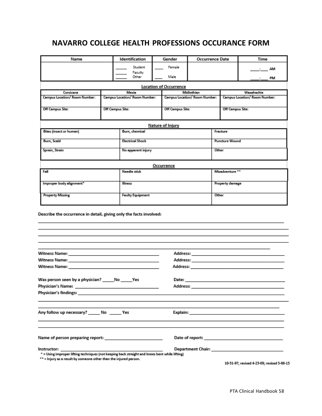### <span id="page-57-0"></span>**NAVARRO COLLEGE HEALTH PROFESSIONS OCCURANCE FORM**

| Name                                                                                                          |                          |                               |                                 | Gender<br><b>Occurrence Date</b> |                                                                                                                |                 | Time                                                                                                                                                                                                                           |  |  |
|---------------------------------------------------------------------------------------------------------------|--------------------------|-------------------------------|---------------------------------|----------------------------------|----------------------------------------------------------------------------------------------------------------|-----------------|--------------------------------------------------------------------------------------------------------------------------------------------------------------------------------------------------------------------------------|--|--|
|                                                                                                               |                          | Student                       |                                 | Female                           |                                                                                                                |                 | AM                                                                                                                                                                                                                             |  |  |
|                                                                                                               |                          | Faculty<br>Other              |                                 | Male                             |                                                                                                                |                 | PM                                                                                                                                                                                                                             |  |  |
|                                                                                                               |                          |                               |                                 | <b>Location of Occurrence</b>    |                                                                                                                |                 |                                                                                                                                                                                                                                |  |  |
| Corsicana                                                                                                     | Midlothian<br>Waxahachie |                               |                                 |                                  |                                                                                                                |                 |                                                                                                                                                                                                                                |  |  |
| Campus Location/ Room Number:                                                                                 |                          | Campus Location/ Room Number: |                                 |                                  | Campus Location/ Room Number:                                                                                  |                 | Campus Location/ Room Number:                                                                                                                                                                                                  |  |  |
| Off Campus Site:                                                                                              | Off Campus Site:         |                               | Off Campus Site:                |                                  | Off Campus Site:                                                                                               |                 |                                                                                                                                                                                                                                |  |  |
|                                                                                                               |                          |                               |                                 | Nature of Injury                 |                                                                                                                |                 |                                                                                                                                                                                                                                |  |  |
| Bites (insect or human)<br>Burn, chemical                                                                     |                          |                               |                                 | Fracture                         |                                                                                                                |                 |                                                                                                                                                                                                                                |  |  |
| Burn, Scald                                                                                                   |                          |                               |                                 | <b>Electrical Shock</b>          |                                                                                                                |                 | Puncture Wound                                                                                                                                                                                                                 |  |  |
| Sprain, Strain                                                                                                |                          |                               |                                 | No apparent injury               |                                                                                                                |                 | Other                                                                                                                                                                                                                          |  |  |
|                                                                                                               |                          |                               |                                 | <b>Occurrence</b>                |                                                                                                                |                 |                                                                                                                                                                                                                                |  |  |
| Fall<br>Needle stick                                                                                          |                          |                               |                                 |                                  |                                                                                                                |                 | Misadventure **                                                                                                                                                                                                                |  |  |
| Improper body alignment*<br>Illness                                                                           |                          |                               |                                 |                                  |                                                                                                                | Property damage |                                                                                                                                                                                                                                |  |  |
| <b>Property Missing</b><br><b>Faulty Equipment</b>                                                            |                          |                               |                                 | Other                            |                                                                                                                |                 |                                                                                                                                                                                                                                |  |  |
| Describe the occurrence in detail, giving only the facts involved:                                            |                          |                               |                                 |                                  |                                                                                                                |                 |                                                                                                                                                                                                                                |  |  |
|                                                                                                               |                          |                               |                                 |                                  |                                                                                                                |                 |                                                                                                                                                                                                                                |  |  |
|                                                                                                               |                          |                               |                                 |                                  |                                                                                                                |                 |                                                                                                                                                                                                                                |  |  |
|                                                                                                               |                          |                               |                                 |                                  |                                                                                                                |                 |                                                                                                                                                                                                                                |  |  |
|                                                                                                               |                          |                               |                                 |                                  |                                                                                                                |                 |                                                                                                                                                                                                                                |  |  |
| Was person seen by a physician? ______ No ______ Yes                                                          |                          |                               |                                 |                                  |                                                                                                                |                 |                                                                                                                                                                                                                                |  |  |
|                                                                                                               |                          |                               | Address: ______________________ |                                  |                                                                                                                |                 |                                                                                                                                                                                                                                |  |  |
|                                                                                                               |                          |                               |                                 |                                  |                                                                                                                |                 |                                                                                                                                                                                                                                |  |  |
| Any follow up necessary? ______ No _______ Yes                                                                |                          |                               |                                 |                                  | Explain: Annual March 2014 - Annual March 2014 - Annual March 2014 - Annual March 2014 - Annual March 2014 - A |                 |                                                                                                                                                                                                                                |  |  |
|                                                                                                               |                          |                               |                                 |                                  |                                                                                                                |                 | Date of report: and the contract of the contract of the contract of the contract of the contract of the contract of the contract of the contract of the contract of the contract of the contract of the contract of the contra |  |  |
| Instructor:<br>" = Using improper lifting techniques (not keeping back straight and knees bent while lifting) |                          |                               |                                 |                                  |                                                                                                                |                 |                                                                                                                                                                                                                                |  |  |

- Sang improper inting techniques (not keeping back straight a<br>\*\* = Injury as a result by someone other than the injured person.

10-31-97; revised 4-23-09; revised 5-06-15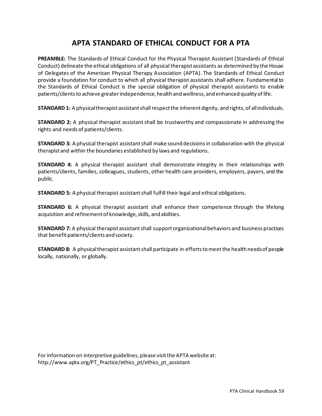# **APTA STANDARD OF ETHICAL CONDUCT FOR A PTA**

<span id="page-58-0"></span>**PREAMBLE:** The Standards of Ethical Conduct for the Physical Therapist Assistant (Standards of Ethical Conduct) delineate the ethical obligations of all physical therapist assistants as determined by the House of Delegates of the American Physical Therapy Association (APTA). The Standards of Ethical Conduct provide a foundation for conduct to which all physical therapist assistants shall adhere. Fundamental to the Standards of Ethical Conduct is the special obligation of physical therapist assistants to enable patients/clients to achieve greater independence, health and wellness, and enhanced quality of life.

**STANDARD 1:** A physical therapist assistant shall respect the inherent dignity, and rights, of all individuals.

**STANDARD 2:** A physical therapist assistant shall be trustworthy and compassionate in addressing the rights and needs of patients/clients.

**STANDARD 3:** A physical therapist assistant shall make sound decisions in collaboration with the physical therapist and within the boundaries established by laws and regulations.

**STANDARD 4:** A physical therapist assistant shall demonstrate integrity in their relationships with patients/clients, families, colleagues, students, other health care providers, employers, payers, and the public.

**STANDARD 5:** A physical therapist assistant shall fulfill their legal and ethical obligations.

**STANDARD 6:** A physical therapist assistant shall enhance their competence through the lifelong acquisition and refinement of knowledge, skills, and abilities.

**STANDARD 7:** A physical therapist assistant shall support organizational behaviors and business practices that benefit patients/clients and society.

**STANDARD 8:** A physical therapist assistant shall participate in efforts to meet the health needs of people locally, nationally, or globally.

For information on interpretive guidelines, please visit the APTA website at: http://www.apta.org/PT\_Practice/ethics\_pt/ethics\_pt\_assistant